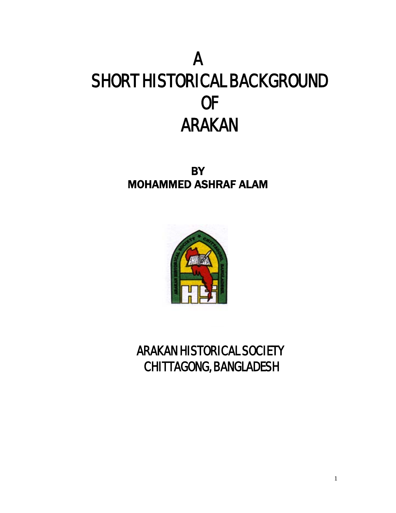# A SHORT HISTORICAL BACKGROUND OF ARAKAN

**BY** MOHAMMED ASHRAF ALAM



 ARAKAN HISTORICAL SOCIETY CHITTAGONG, BANGLADESH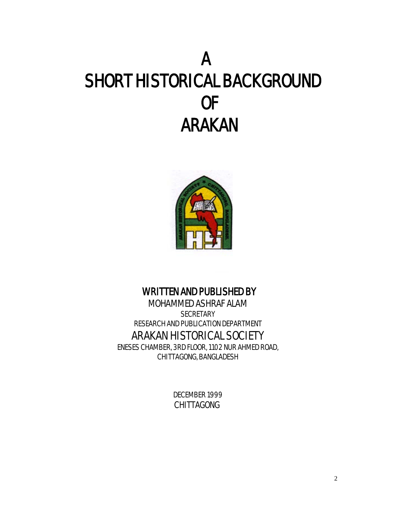# A SHORT HISTORICAL BACKGROUND OF ARAKAN



### WRITTEN AND PUBLISHED BY

MOHAMMED ASHRAF ALAM **SECRETARY** RESEARCH AND PUBLICATION DEPARTMENT ARAKAN HISTORICAL SOCIETY

ENESES CHAMBER, 3RD FLOOR, 1102 NUR AHMED ROAD, CHITTAGONG, BANGLADESH

> DECEMBER 1999 CHITTAGONG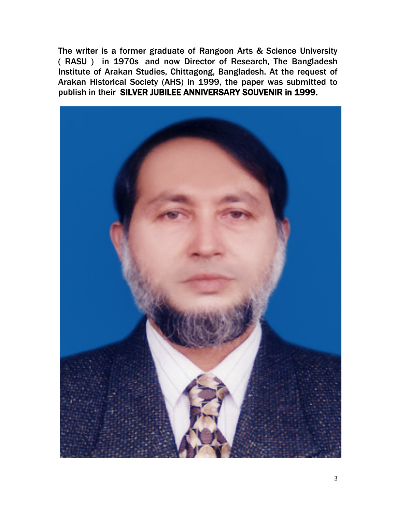The writer is a former graduate of Rangoon Arts & Science University ( RASU ) in 1970s and now Director of Research, The Bangladesh Institute of Arakan Studies, Chittagong, Bangladesh. At the request of Arakan Historical Society (AHS) in 1999, the paper was submitted to publish in their SILVER JUBILEE ANNIVERSARY SOUVENIR in 1999.

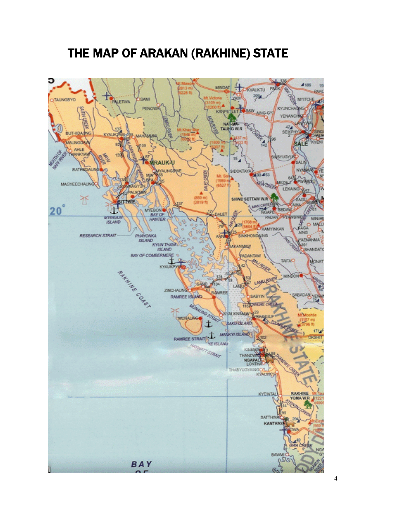## THE MAP OF ARAKAN (RAKHINE) STATE

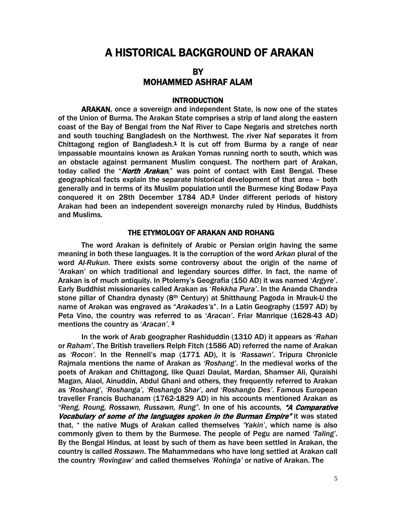### A HISTORICAL BACKGROUND OF ARAKAN

#### **BY** MOHAMMED ASHRAF ALAM

#### **INTRODUCTION**

ARAKAN, once a sovereign and independent State, is now one of the states of the Union of Burma. The Arakan State comprises a strip of land along the eastern coast of the Bay of Bengal from the Naf River to Cape Negaris and stretches north and south touching Bangladesh on the Northwest. The river Naf separates it from Chittagong region of Bangladesh.<sup>1</sup> It is cut off from Burma by a range of near impassable mountains known as Arakan Yomas running north to south, which was an obstacle against permanent Muslim conquest. The northern part of Arakan, today called the "North Arakan," was point of contact with East Bengal. These geographical facts explain the separate historical development of that area – both generally and in terms of its Muslim population until the Burmese king Bodaw Paya conquered it on 28th December 1784 AD.2 Under different periods of history Arakan had been an independent sovereign monarchy ruled by Hindus, Buddhists and Muslims.

#### THE ETYMOLOGY OF ARAKAN AND ROHANG

The word Arakan is definitely of Arabic or Persian origin having the same meaning in both these languages. It is the corruption of the word *Arkan* plural of the word *Al-Rukun*. There exists some controversy about the origin of the name of 'Arakan' on which traditional and legendary sources differ. In fact, the name of Arakan is of much antiquity. In Ptolemy's Geografia (150 AD) it was named '*Argyre*'. Early Buddhist missionaries called Arakan as '*Rekkha Pura'*. In the Ananda Chandra stone pillar of Chandra dynasty (8th Century) at Shitthaung Pagoda in Mrauk-U the name of Arakan was engraved as "*Arakades's*". In a Latin Geography (1597 AD) by Peta Vino, the country was referred to as '*Aracan'*. Friar Manrique (1628-43 AD) mentions the country as '*Aracan'.* <sup>3</sup>

In the work of Arab geographer Rashiduddin (1310 AD) it appears as '*Rahan* or *Raham'*. The British travellers Relph Fitch (1586 AD) referred the name of Arakan as *'Rocon'.* In the Rennell's map (1771 AD), it is *'Rassawn'*. Tripura Chronicle Rajmala mentions the name of Arakan as *'Roshang'*. In the medieval works of the poets of Arakan and Chittagong, like Quazi Daulat, Mardan, Shamser Ali, Quraishi Magan, Alaol, Ainuddin, Abdul Ghani and others, they frequently referred to Arakan as *'Roshang', 'Roshanga', 'Roshango Shar', and 'Roshango Des'*. Famous European traveller Francis Buchanam (1762-1829 AD) in his accounts mentioned Arakan as *"Reng, Roung, Rossawn, Russawn, Rung".* In one of his accounts, "A Comparative Vocabulary of some of the languages spoken in the Burman Empire" it was stated that, " the native Mugs of Arakan called themselves *'Yakin'*, which name is also commonly given to them by the Burmese. The people of Pegu are named *'Taling'*. By the Bengal Hindus, at least by such of them as have been settled in Arakan, the country is called *Rossawn*. The Mahammedans who have long settled at Arakan call the country *'Rovingaw'* and called themselves *'Rohinga'* or native of Arakan. The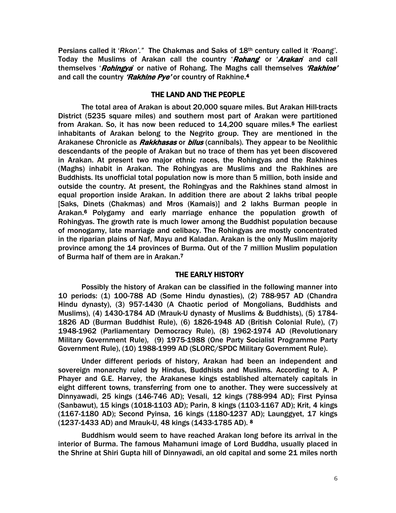Persians called it '*Rkon'."* The Chakmas and Saks of 18th century called it *'Roang'*. Today the Muslims of Arakan call the country '*Rohang*' or '*Arakan*' and call themselves '*Rohingya*' or native of Rohang. The Maghs call themselves 'Rakhine' and call the country 'Rakhine Pye' or country of Rakhine.<sup>4</sup>

#### THE LAND AND THE PEOPLE

The total area of Arakan is about 20,000 square miles. But Arakan Hill-tracts District (5235 square miles) and southern most part of Arakan were partitioned from Arakan. So, it has now been reduced to 14,200 square miles.<sup>5</sup> The earliest inhabitants of Arakan belong to the Negrito group. They are mentioned in the Arakanese Chronicle as *Rakkhasas* or *bilus* (cannibals). They appear to be Neolithic descendants of the people of Arakan but no trace of them has yet been discovered in Arakan. At present two major ethnic races, the Rohingyas and the Rakhines (Maghs) inhabit in Arakan. The Rohingyas are Muslims and the Rakhines are Buddhists. Its unofficial total population now is more than 5 million, both inside and outside the country. At present, the Rohingyas and the Rakhines stand almost in equal proportion inside Arakan. In addition there are about 2 lakhs tribal people [Saks, Dinets (Chakmas) and Mros (Kamais)] and 2 lakhs Burman people in Arakan.6 Polygamy and early marriage enhance the population growth of Rohingyas. The growth rate is much lower among the Buddhist population because of monogamy, late marriage and celibacy. The Rohingyas are mostly concentrated in the riparian plains of Naf, Mayu and Kaladan. Arakan is the only Muslim majority province among the 14 provinces of Burma. Out of the 7 million Muslim population of Burma half of them are in Arakan.7

#### THE EARLY HISTORY

Possibly the history of Arakan can be classified in the following manner into 10 periods: (1) 100-788 AD (Some Hindu dynasties), (2) 788-957 AD (Chandra Hindu dynasty), (3) 957-1430 (A Chaotic period of Mongolians, Buddhists and Muslims), (4) 1430-1784 AD (Mrauk-U dynasty of Muslims & Buddhists), (5) 1784- 1826 AD (Burman Buddhist Rule), (6) 1826-1948 AD (British Colonial Rule), (7) 1948-1962 (Parliamentary Democracy Rule), (8) 1962-1974 AD (Revolutionary Military Government Rule), (9) 1975-1988 (One Party Socialist Programme Party Government Rule), (10) 1988-1999 AD (SLORC/SPDC Military Government Rule).

Under different periods of history, Arakan had been an independent and sovereign monarchy ruled by Hindus, Buddhists and Muslims. According to A. P Phayer and G.E. Harvey, the Arakanese kings established alternately capitals in eight different towns, transferring from one to another. They were successively at Dinnyawadi, 25 kings (146-746 AD); Vesali, 12 kings (788-994 AD); First Pyinsa (Sanbawut), 15 kings (1018-1103 AD); Parin, 8 kings (1103-1167 AD); Krit, 4 kings (1167-1180 AD); Second Pyinsa, 16 kings (1180-1237 AD); Launggyet, 17 kings (1237-1433 AD) and Mrauk-U, 48 kings (1433-1785 AD). 8

Buddhism would seem to have reached Arakan long before its arrival in the interior of Burma. The famous Mahamuni image of Lord Buddha, usually placed in the Shrine at Shiri Gupta hill of Dinnyawadi, an old capital and some 21 miles north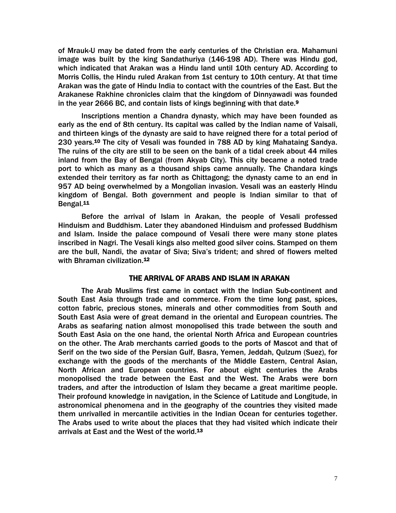of Mrauk-U may be dated from the early centuries of the Christian era. Mahamuni image was built by the king Sandathuriya (146-198 AD). There was Hindu god, which indicated that Arakan was a Hindu land until 10th century AD. According to Morris Collis, the Hindu ruled Arakan from 1st century to 10th century. At that time Arakan was the gate of Hindu India to contact with the countries of the East. But the Arakanese Rakhine chronicles claim that the kingdom of Dinnyawadi was founded in the year 2666 BC, and contain lists of kings beginning with that date.<sup>9</sup>

Inscriptions mention a Chandra dynasty, which may have been founded as early as the end of 8th century. Its capital was called by the Indian name of Vaisali, and thirteen kings of the dynasty are said to have reigned there for a total period of 230 years.10 The city of Vesali was founded in 788 AD by king Mahataing Sandya. The ruins of the city are still to be seen on the bank of a tidal creek about 44 miles inland from the Bay of Bengal (from Akyab City). This city became a noted trade port to which as many as a thousand ships came annually. The Chandara kings extended their territory as far north as Chittagong; the dynasty came to an end in 957 AD being overwhelmed by a Mongolian invasion. Vesali was an easterly Hindu kingdom of Bengal. Both government and people is Indian similar to that of Bengal.11

Before the arrival of Islam in Arakan, the people of Vesali professed Hinduism and Buddhism. Later they abandoned Hinduism and professed Buddhism and Islam. Inside the palace compound of Vesali there were many stone plates inscribed in Nagri. The Vesali kings also melted good silver coins. Stamped on them are the bull, Nandi, the avatar of Siva; Siva's trident; and shred of flowers melted with Bhraman civilization.<sup>12</sup>

#### THE ARRIVAL OF ARABS AND ISLAM IN ARAKAN

The Arab Muslims first came in contact with the Indian Sub-continent and South East Asia through trade and commerce. From the time long past, spices, cotton fabric, precious stones, minerals and other commodities from South and South East Asia were of great demand in the oriental and European countries. The Arabs as seafaring nation almost monopolised this trade between the south and South East Asia on the one hand, the oriental North Africa and European countries on the other. The Arab merchants carried goods to the ports of Mascot and that of Serif on the two side of the Persian Gulf, Basra, Yemen, Jeddah, Qulzum (Suez), for exchange with the goods of the merchants of the Middle Eastern, Central Asian, North African and European countries. For about eight centuries the Arabs monopolised the trade between the East and the West. The Arabs were born traders, and after the introduction of Islam they became a great maritime people. Their profound knowledge in navigation, in the Science of Latitude and Longitude, in astronomical phenomena and in the geography of the countries they visited made them unrivalled in mercantile activities in the Indian Ocean for centuries together. The Arabs used to write about the places that they had visited which indicate their arrivals at East and the West of the world.<sup>13</sup>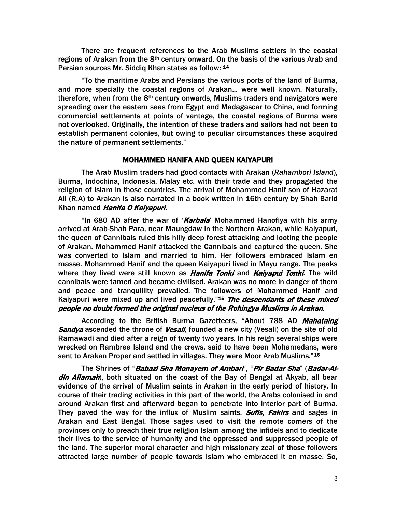There are frequent references to the Arab Muslims settlers in the coastal regions of Arakan from the  $8<sup>th</sup>$  century onward. On the basis of the various Arab and Persian sources Mr. Siddiq Khan states as follow: 14

"To the maritime Arabs and Persians the various ports of the land of Burma, and more specially the coastal regions of Arakan... were well known. Naturally, therefore, when from the  $8<sup>th</sup>$  century onwards, Muslims traders and navigators were spreading over the eastern seas from Egypt and Madagascar to China, and forming commercial settlements at points of vantage, the coastal regions of Burma were not overlooked. Originally, the intention of these traders and sailors had not been to establish permanent colonies, but owing to peculiar circumstances these acquired the nature of permanent settlements."

#### MOHAMMED HANIFA AND QUEEN KAIYAPURI

The Arab Muslim traders had good contacts with Arakan (*Rahambori Island*), Burma, Indochina, Indonesia, Malay etc. with their trade and they propagated the religion of Islam in those countries. The arrival of Mohammed Hanif son of Hazarat Ali (R.A) to Arakan is also narrated in a book written in 16th century by Shah Barid Khan named Hanifa O Kaiyapuri.

"In 680 AD after the war of '*Karbala*' Mohammed Hanofiya with his army arrived at Arab-Shah Para, near Maungdaw in the Northern Arakan, while Kaiyapuri, the queen of Cannibals ruled this hilly deep forest attacking and looting the people of Arakan. Mohammed Hanif attacked the Cannibals and captured the queen. She was converted to Islam and married to him. Her followers embraced Islam en masse. Mohammed Hanif and the queen Kaiyapuri lived in Mayu range. The peaks where they lived were still known as *Hanifa Tonki* and *Kaiyapui Tonki*. The wild cannibals were tamed and became civilised. Arakan was no more in danger of them and peace and tranquillity prevailed. The followers of Mohammed Hanif and Kaiyapuri were mixed up and lived peacefully."<sup>15</sup> The descendants of these mixed people no doubt formed the original nucleus of the Rohingya Muslims in Arakan.

According to the British Burma Gazetteers, "About 788 AD Mahataing Sandya ascended the throne of Vesali, founded a new city (Vesali) on the site of old Ramawadi and died after a reign of twenty two years. In his reign several ships were wrecked on Rambree Island and the crews, said to have been Mohamedans, were sent to Arakan Proper and settled in villages. They were Moor Arab Muslims."<sup>16</sup>

The Shrines of "Babazi Sha Monayem of Ambari", "Pir Badar Sha" (Badar-Aldin Allamah), both situated on the coast of the Bay of Bengal at Akyab, all bear evidence of the arrival of Muslim saints in Arakan in the early period of history. In course of their trading activities in this part of the world, the Arabs colonised in and around Arakan first and afterward began to penetrate into interior part of Burma. They paved the way for the influx of Muslim saints, **Sufis, Fakirs** and sages in Arakan and East Bengal. Those sages used to visit the remote corners of the provinces only to preach their true religion Islam among the infidels and to dedicate their lives to the service of humanity and the oppressed and suppressed people of the land. The superior moral character and high missionary zeal of those followers attracted large number of people towards Islam who embraced it en masse. So,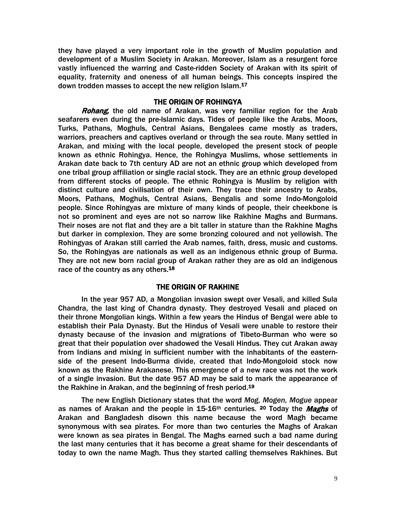they have played a very important role in the growth of Muslim population and development of a Muslim Society in Arakan. Moreover, Islam as a resurgent force vastly influenced the warring and Caste-ridden Society of Arakan with its spirit of equality, fraternity and oneness of all human beings. This concepts inspired the down trodden masses to accept the new religion Islam.<sup>17</sup>

#### THE ORIGIN OF ROHINGYA

Rohang, the old name of Arakan, was very familiar region for the Arab seafarers even during the pre-Islamic days. Tides of people like the Arabs, Moors, Turks, Pathans, Moghuls, Central Asians, Bengalees came mostly as traders, warriors, preachers and captives overland or through the sea route. Many settled in Arakan, and mixing with the local people, developed the present stock of people known as ethnic Rohingya. Hence, the Rohingya Muslims, whose settlements in Arakan date back to 7th century AD are not an ethnic group which developed from one tribal group affiliation or single racial stock. They are an ethnic group developed from different stocks of people. The ethnic Rohingya is Muslim by religion with distinct culture and civilisation of their own. They trace their ancestry to Arabs, Moors, Pathans, Moghuls, Central Asians, Bengalis and some Indo-Mongoloid people. Since Rohingyas are mixture of many kinds of people, their cheekbone is not so prominent and eyes are not so narrow like Rakhine Maghs and Burmans. Their noses are not flat and they are a bit taller in stature than the Rakhine Maghs but darker in complexion. They are some bronzing coloured and not yellowish. The Rohingyas of Arakan still carried the Arab names, faith, dress, music and customs. So, the Rohingyas are nationals as well as an indigenous ethnic group of Burma. They are not new born racial group of Arakan rather they are as old an indigenous race of the country as any others.<sup>18</sup>

#### THE ORIGIN OF RAKHINE

In the year 957 AD, a Mongolian invasion swept over Vesali, and killed Sula Chandra, the last king of Chandra dynasty. They destroyed Vesali and placed on their throne Mongolian kings. Within a few years the Hindus of Bengal were able to establish their Pala Dynasty. But the Hindus of Vesali were unable to restore their dynasty because of the invasion and migrations of Tibeto-Burman who were so great that their population over shadowed the Vesali Hindus. They cut Arakan away from Indians and mixing in sufficient number with the inhabitants of the easternside of the present Indo-Burma divide, created that Indo-Mongoloid stock now known as the Rakhine Arakanese. This emergence of a new race was not the work of a single invasion. But the date 957 AD may be said to mark the appearance of the Rakhine in Arakan, and the beginning of fresh period.19

The new English Dictionary states that the word *Mog, Mogen, Mogue* appear as names of Arakan and the people in 15-16<sup>th</sup> centuries. <sup>20</sup> Today the *Maghs* of Arakan and Bangladesh disown this name because the word Magh became synonymous with sea pirates. For more than two centuries the Maghs of Arakan were known as sea pirates in Bengal. The Maghs earned such a bad name during the last many centuries that it has become a great shame for their descendants of today to own the name Magh. Thus they started calling themselves Rakhines. But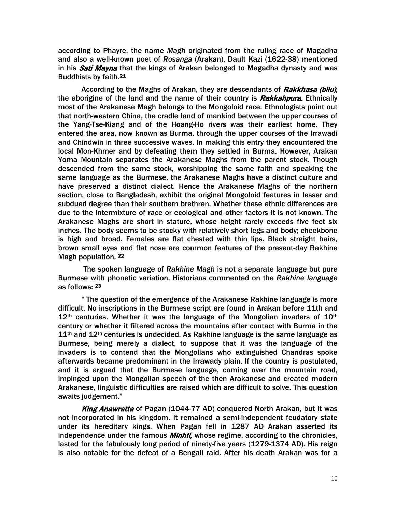according to Phayre, the name *Magh* originated from the ruling race of Magadha and also a well-known poet of *Rosanga* (Arakan), Dault Kazi (1622-38) mentioned in his **Sati Mayna** that the kings of Arakan belonged to Magadha dynasty and was Buddhists by faith.21

According to the Maghs of Arakan, they are descendants of *Rakkhasa (bilu)*; the aborigine of the land and the name of their country is *Rakkahpura*. Ethnically most of the Arakanese Magh belongs to the Mongoloid race. Ethnologists point out that north-western China, the cradle land of mankind between the upper courses of the Yang-Tse-Kiang and of the Hoang-Ho rivers was their earliest home. They entered the area, now known as Burma, through the upper courses of the Irrawadi and Chindwin in three successive waves. In making this entry they encountered the local Mon-Khmer and by defeating them they settled in Burma. However, Arakan Yoma Mountain separates the Arakanese Maghs from the parent stock. Though descended from the same stock, worshipping the same faith and speaking the same language as the Burmese, the Arakanese Maghs have a distinct culture and have preserved a distinct dialect. Hence the Arakanese Maghs of the northern section, close to Bangladesh, exhibit the original Mongoloid features in lesser and subdued degree than their southern brethren. Whether these ethnic differences are due to the intermixture of race or ecological and other factors it is not known. The Arakanese Maghs are short in stature, whose height rarely exceeds five feet six inches. The body seems to be stocky with relatively short legs and body; cheekbone is high and broad. Females are flat chested with thin lips. Black straight hairs, brown small eyes and flat nose are common features of the present-day Rakhine Magh population. 22

 The spoken language of *Rakhine Magh* is not a separate language but pure Burmese with phonetic variation. Historians commented on the *Rakhine language* as follows: 23

" The question of the emergence of the Arakanese Rakhine language is more difficult. No inscriptions in the Burmese script are found in Arakan before 11th and  $12<sup>th</sup>$  centuries. Whether it was the language of the Mongolian invaders of  $10<sup>th</sup>$ century or whether it filtered across the mountains after contact with Burma in the  $11<sup>th</sup>$  and  $12<sup>th</sup>$  centuries is undecided. As Rakhine language is the same language as Burmese, being merely a dialect, to suppose that it was the language of the invaders is to contend that the Mongolians who extinguished Chandras spoke afterwards became predominant in the Irrawady plain. If the country is postulated, and it is argued that the Burmese language, coming over the mountain road, impinged upon the Mongolian speech of the then Arakanese and created modern Arakanese, linguistic difficulties are raised which are difficult to solve. This question awaits judgement."

King Anawratta of Pagan (1044-77 AD) conquered North Arakan, but it was not incorporated in his kingdom. It remained a semi-independent feudatory state under its hereditary kings. When Pagan fell in 1287 AD Arakan asserted its independence under the famous *Minhti*, whose regime, according to the chronicles, lasted for the fabulously long period of ninety-five years (1279-1374 AD). His reign is also notable for the defeat of a Bengali raid. After his death Arakan was for a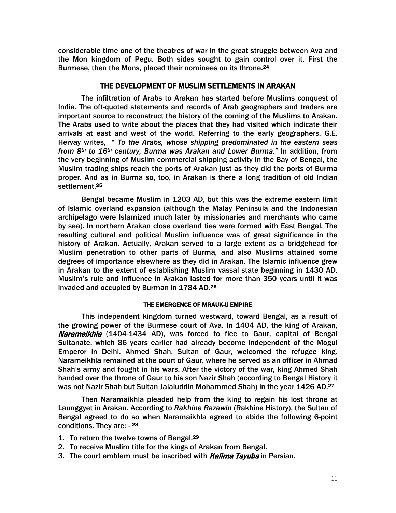considerable time one of the theatres of war in the great struggle between Ava and the Mon kingdom of Pegu. Both sides sought to gain control over it. First the Burmese, then the Mons, placed their nominees on its throne.24

#### THE DEVELOPMENT OF MUSLIM SETTLEMENTS IN ARAKAN

The infiltration of Arabs to Arakan has started before Muslims conquest of India. The oft-quoted statements and records of Arab geographers and traders are important source to reconstruct the history of the coming of the Muslims to Arakan. The Arabs used to write about the places that they had visited which indicate their arrivals at east and west of the world. Referring to the early geographers, G.E. Hervay writes, " *To the Arabs, whose shipping predominated in the eastern seas from 8th to 16th century, Burma was Arakan and Lower Burma."* In addition, from the very beginning of Muslim commercial shipping activity in the Bay of Bengal, the Muslim trading ships reach the ports of Arakan just as they did the ports of Burma proper. And as in Burma so, too, in Arakan is there a long tradition of old Indian settlement.25

Bengal became Muslim in 1203 AD, but this was the extreme eastern limit of Islamic overland expansion (although the Malay Peninsula and the Indonesian archipelago were Islamized much later by missionaries and merchants who came by sea). In northern Arakan close overland ties were formed with East Bengal. The resulting cultural and political Muslim influence was of great significance in the history of Arakan. Actually, Arakan served to a large extent as a bridgehead for Muslim penetration to other parts of Burma, and also Muslims attained some degrees of importance elsewhere as they did in Arakan. The Islamic influence grew in Arakan to the extent of establishing Muslim vassal state beginning in 1430 AD. Muslim's rule and influence in Arakan lasted for more than 350 years until it was invaded and occupied by Burman in 1784 AD.26

#### THE EMERGENCE OF MRAUK-U EMPIRE

This independent kingdom turned westward, toward Bengal, as a result of the growing power of the Burmese court of Ava. In 1404 AD, the king of Arakan, Narameikhla (1404-1434 AD), was forced to flee to Gaur, capital of Bengal Sultanate, which 86 years earlier had already become independent of the Mogul Emperor in Delhi. Ahmed Shah, Sultan of Gaur, welcomed the refugee king. Narameikhla remained at the court of Gaur, where he served as an officer in Ahmad Shah's army and fought in his wars. After the victory of the war, king Ahmed Shah handed over the throne of Gaur to his son Nazir Shah (according to Bengal History it was not Nazir Shah but Sultan Jalaluddin Mohammed Shah) in the year 1426 AD.<sup>27</sup>

Then Naramaikhla pleaded help from the king to regain his lost throne at Launggyet in Arakan. According to *Rakhine Razawin* (Rakhine History), the Sultan of Bengal agreed to do so when Naramaikhla agreed to abide the following 6-point conditions. They are: - <sup>28</sup>

- 1. To return the twelve towns of Bengal.<sup>29</sup>
- 2. To receive Muslim title for the kings of Arakan from Bengal.
- 3. The court emblem must be inscribed with **Kalima Tayuba** in Persian.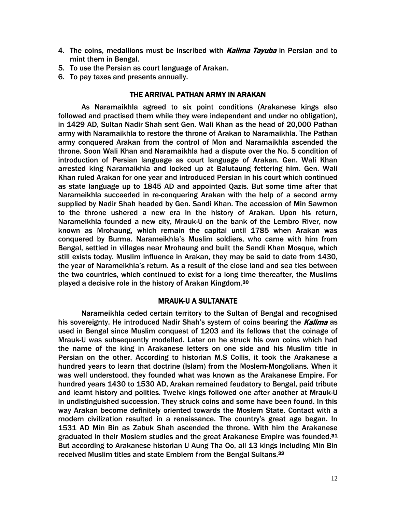- 4. The coins, medallions must be inscribed with *Kalima Tayuba* in Persian and to mint them in Bengal.
- 5. To use the Persian as court language of Arakan.
- 6. To pay taxes and presents annually.

#### THE ARRIVAL PATHAN ARMY IN ARAKAN

As Naramaikhla agreed to six point conditions (Arakanese kings also followed and practised them while they were independent and under no obligation), in 1429 AD, Sultan Nadir Shah sent Gen. Wali Khan as the head of 20,000 Pathan army with Naramaikhla to restore the throne of Arakan to Naramaikhla. The Pathan army conquered Arakan from the control of Mon and Naramaikhla ascended the throne. Soon Wali Khan and Naramaikhla had a dispute over the No. 5 condition of introduction of Persian language as court language of Arakan. Gen. Wali Khan arrested king Naramaikhla and locked up at Balutaung fettering him. Gen. Wali Khan ruled Arakan for one year and introduced Persian in his court which continued as state language up to 1845 AD and appointed Qazis. But some time after that Narameikhla succeeded in re-conquering Arakan with the help of a second army supplied by Nadir Shah headed by Gen. Sandi Khan. The accession of Min Sawmon to the throne ushered a new era in the history of Arakan. Upon his return, Narameikhla founded a new city, Mrauk-U on the bank of the Lembro River, now known as Mrohaung, which remain the capital until 1785 when Arakan was conquered by Burma. Narameikhla's Muslim soldiers, who came with him from Bengal, settled in villages near Mrohaung and built the Sandi Khan Mosque, which still exists today. Muslim influence in Arakan, they may be said to date from 1430, the year of Narameikhla's return. As a result of the close land and sea ties between the two countries, which continued to exist for a long time thereafter, the Muslims played a decisive role in the history of Arakan Kingdom.30

#### MRAUK-U A SULTANATE

Narameikhla ceded certain territory to the Sultan of Bengal and recognised his sovereignty. He introduced Nadir Shah's system of coins bearing the Kalima as used in Bengal since Muslim conquest of 1203 and its fellows that the coinage of Mrauk-U was subsequently modelled. Later on he struck his own coins which had the name of the king in Arakanese letters on one side and his Muslim title in Persian on the other. According to historian M.S Collis, it took the Arakanese a hundred years to learn that doctrine (Islam) from the Moslem-Mongolians. When it was well understood, they founded what was known as the Arakanese Empire. For hundred years 1430 to 1530 AD, Arakan remained feudatory to Bengal, paid tribute and learnt history and polities. Twelve kings followed one after another at Mrauk-U in undistinguished succession. They struck coins and some have been found. In this way Arakan become definitely oriented towards the Moslem State. Contact with a modern civilization resulted in a renaissance. The country's great age began. In 1531 AD Min Bin as Zabuk Shah ascended the throne. With him the Arakanese graduated in their Moslem studies and the great Arakanese Empire was founded.<sup>31</sup> But according to Arakanese historian U Aung Tha Oo, all 13 kings including Min Bin received Muslim titles and state Emblem from the Bengal Sultans.32 Ì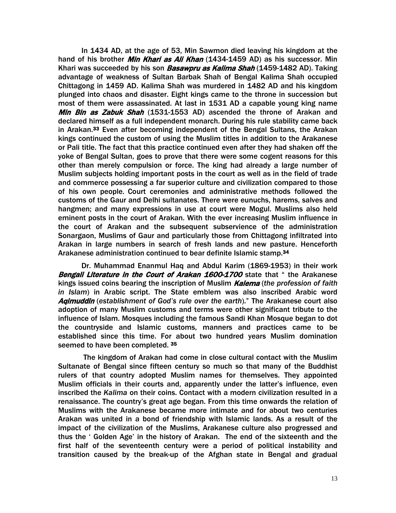In 1434 AD, at the age of 53, Min Sawmon died leaving his kingdom at the hand of his brother *Min Khari as Ali Khan* (1434-1459 AD) as his successor. Min Khari was succeeded by his son **Basawpru as Kalima Shah** (1459-1482 AD). Taking advantage of weakness of Sultan Barbak Shah of Bengal Kalima Shah occupied Chittagong in 1459 AD. Kalima Shah was murdered in 1482 AD and his kingdom plunged into chaos and disaster. Eight kings came to the throne in succession but most of them were assassinated. At last in 1531 AD a capable young king name Min Bin as Zabuk Shah (1531-1553 AD) ascended the throne of Arakan and declared himself as a full independent monarch. During his rule stability came back in Arakan.33 Even after becoming independent of the Bengal Sultans, the Arakan kings continued the custom of using the Muslim titles in addition to the Arakanese or Pali title. The fact that this practice continued even after they had shaken off the yoke of Bengal Sultan, goes to prove that there were some cogent reasons for this other than merely compulsion or force. The king had already a large number of Muslim subjects holding important posts in the court as well as in the field of trade and commerce possessing a far superior culture and civilization compared to those of his own people. Court ceremonies and administrative methods followed the customs of the Gaur and Delhi sultanates. There were eunuchs, harems, salves and hangmen; and many expressions in use at court were Mogul. Muslims also held eminent posts in the court of Arakan. With the ever increasing Muslim influence in the court of Arakan and the subsequent subservience of the administration Sonargaon, Muslims of Gaur and particularly those from Chittagong infiltrated into Arakan in large numbers in search of fresh lands and new pasture. Henceforth Arakanese administration continued to bear definite Islamic stamp.<sup>34</sup>

Dr. Muhammad Enanmul Haq and Abdul Karim (1869-1953) in their work Bengali Literature in the Court of Arakan 1600-1700 state that " the Arakanese kings issued coins bearing the inscription of Muslim Kalema (*the profession of faith in Islam*) in Arabic script. The State emblem was also inscribed Arabic word Aqimuddin (*establishment of God's rule over the earth*)." The Arakanese court also adoption of many Muslim customs and terms were other significant tribute to the influence of Islam. Mosques including the famous Sandi Khan Mosque began to dot the countryside and Islamic customs, manners and practices came to be established since this time. For about two hundred years Muslim domination seemed to have been completed. 35

The kingdom of Arakan had come in close cultural contact with the Muslim Sultanate of Bengal since fifteen century so much so that many of the Buddhist rulers of that country adopted Muslim names for themselves. They appointed Muslim officials in their courts and, apparently under the latter's influence, even inscribed the *Kalima* on their coins. Contact with a modern civilization resulted in a renaissance. The country's great age began. From this time onwards the relation of Muslims with the Arakanese became more intimate and for about two centuries Arakan was united in a bond of friendship with Islamic lands. As a result of the impact of the civilization of the Muslims, Arakanese culture also progressed and thus the ' Golden Age' in the history of Arakan. The end of the sixteenth and the first half of the seventeenth century were a period of political instability and transition caused by the break-up of the Afghan state in Bengal and gradual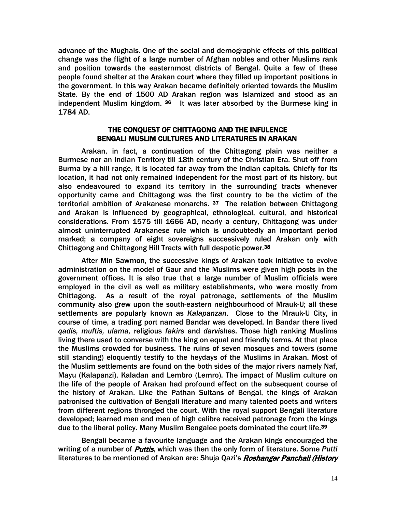advance of the Mughals. One of the social and demographic effects of this political change was the flight of a large number of Afghan nobles and other Muslims rank and position towards the easternmost districts of Bengal. Quite a few of these people found shelter at the Arakan court where they filled up important positions in the government. In this way Arakan became definitely oriented towards the Muslim State. By the end of 1500 AD Arakan region was Islamized and stood as an independent Muslim kingdom. <sup>36</sup> It was later absorbed by the Burmese king in 1784 AD.

#### THE CONQUEST OF CHITTAGONG AND THE INFULENCE BENGALI MUSLIM CULTURES AND LITERATURES IN ARAKAN

Arakan, in fact, a continuation of the Chittagong plain was neither a Burmese nor an Indian Territory till 18th century of the Christian Era. Shut off from Burma by a hill range, it is located far away from the Indian capitals. Chiefly for its location, it had not only remained independent for the most part of its history, but also endeavoured to expand its territory in the surrounding tracts whenever opportunity came and Chittagong was the first country to be the victim of the territorial ambition of Arakanese monarchs.<sup>37</sup> The relation between Chittagong and Arakan is influenced by geographical, ethnological, cultural, and historical considerations. From 1575 till 1666 AD, nearly a century, Chittagong was under almost uninterrupted Arakanese rule which is undoubtedly an important period marked; a company of eight sovereigns successively ruled Arakan only with Chittagong and Chittagong Hill Tracts with full despotic power.38

After Min Sawmon, the successive kings of Arakan took initiative to evolve administration on the model of Gaur and the Muslims were given high posts in the government offices. It is also true that a large number of Muslim officials were employed in the civil as well as military establishments, who were mostly from Chittagong. As a result of the royal patronage, settlements of the Muslim community also grew upon the south-eastern neighbourhood of Mrauk-U; all these settlements are popularly known as *Kalapanzan*. Close to the Mrauk-U City, in course of time, a trading port named Bandar was developed. In Bandar there lived *qadis, muftis, ulama,* religious *fakirs* and *darvishes*. Those high ranking Muslims living there used to converse with the king on equal and friendly terms. At that place the Muslims crowded for business. The ruins of seven mosques and towers (some still standing) eloquently testify to the heydays of the Muslims in Arakan. Most of the Muslim settlements are found on the both sides of the major rivers namely Naf, Mayu (Kalapanzi), Kaladan and Lembro (Lemro). The impact of Muslim culture on the life of the people of Arakan had profound effect on the subsequent course of the history of Arakan. Like the Pathan Sultans of Bengal, the kings of Arakan patronised the cultivation of Bengali literature and many talented poets and writers from different regions thronged the court. With the royal support Bengali literature developed; learned men and men of high calibre received patronage from the kings due to the liberal policy. Many Muslim Bengalee poets dominated the court life.39 Ī

Bengali became a favourite language and the Arakan kings encouraged the writing of a number of Puttis, which was then the only form of literature. Some *Putti* literatures to be mentioned of Arakan are: Shuja Qazi's *Roshanger Panchali (History*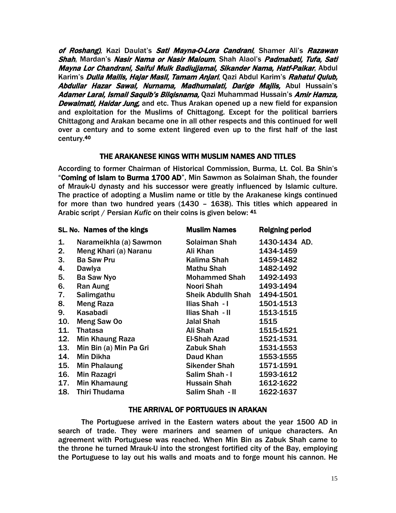of Roshang), Kazi Daulat's Sati Mayna-O-Lora Candrani, Shamer Ali's Razawan Shah, Mardan's Nasir Nama or Nasir Maloum, Shah Alaol's Padmabati, Tufa, Sati Mayna Lor Chandrani, Saiful Mulk Badiujiamal, Sikander Nama, Hatf-Paikar, Abdul Karim's *Dulla Mailis, Hajar Masil, Tamam Anjari*, Qazi Abdul Karim's *Rahatul Qulub*, Abdullar Hazar Sawal, Nurnama, Madhumalati, Darige Majlis, Abul Hussain's Adamer Larai, Ismail Saquib's Bilgisnama, Qazi Muhammad Hussain's Amir Hamza, Dewalmati, Haidar Jung, and etc. Thus Arakan opened up a new field for expansion and exploitation for the Muslims of Chittagong. Except for the political barriers Chittagong and Arakan became one in all other respects and this continued for well over a century and to some extent lingered even up to the first half of the last century.40

#### THE ARAKANESE KINGS WITH MUSLIM NAMES AND TITLES

According to former Chairman of Historical Commission, Burma, Lt. Col. Ba Shin's "Coming of Islam to Burma 1700 AD", Min Sawmon as Solaiman Shah, the founder of Mrauk-U dynasty and his successor were greatly influenced by Islamic culture. The practice of adopting a Muslim name or title by the Arakanese kings continued for more than two hundred years (1430 – 1638). This titles which appeared in Arabic script / Persian *Kufic* on their coins is given below: 41

| SL. No. Names of the kings |                        | <b>Muslim Names</b>       | Reigning period |
|----------------------------|------------------------|---------------------------|-----------------|
| 1.                         | Narameikhla (a) Sawmon | Solaiman Shah             | 1430-1434 AD.   |
| 2.                         | Meng Khari (a) Naranu  | Ali Khan                  | 1434-1459       |
| 3.                         | <b>Ba Saw Pru</b>      | Kalima Shah               | 1459-1482       |
| 4.                         | Dawlya                 | <b>Mathu Shah</b>         | 1482-1492       |
| 5.                         | <b>Ba Saw Nyo</b>      | <b>Mohammed Shah</b>      | 1492-1493       |
| 6.                         | Ran Aung               | Noori Shah                | 1493-1494       |
| 7.                         | Salimgathu             | <b>Sheik Abdullh Shah</b> | 1494-1501       |
| 8.                         | <b>Meng Raza</b>       | Ilias Shah - I            | 1501-1513       |
| 9.                         | Kasabadi               | Ilias Shah - II           | 1513-1515       |
| 10.                        | Meng Saw Oo            | Jalal Shah                | 1515            |
| 11.                        | <b>Thatasa</b>         | Ali Shah                  | 1515-1521       |
| 12.                        | <b>Min Khaung Raza</b> | El-Shah Azad              | 1521-1531       |
| 13.                        | Min Bin (a) Min Pa Gri | Zabuk Shah                | 1531-1553       |
| 14.                        | <b>Min Dikha</b>       | Daud Khan                 | 1553-1555       |
| 15.                        | Min Phalaung           | Sikender Shah             | 1571-1591       |
| 16.                        | <b>Min Razagri</b>     | Salim Shah - I            | 1593-1612       |
| 17.                        | Min Khamaung           | Hussain Shah              | 1612-1622       |
| 18.                        | Thiri Thudama          | Salim Shah - II           | 1622-1637       |
|                            |                        |                           |                 |

#### THE ARRIVAL OF PORTUGUES IN ARAKAN

The Portuguese arrived in the Eastern waters about the year 1500 AD in search of trade. They were mariners and seamen of unique characters. An agreement with Portuguese was reached. When Min Bin as Zabuk Shah came to the throne he turned Mrauk-U into the strongest fortified city of the Bay, employing the Portuguese to lay out his walls and moats and to forge mount his cannon. He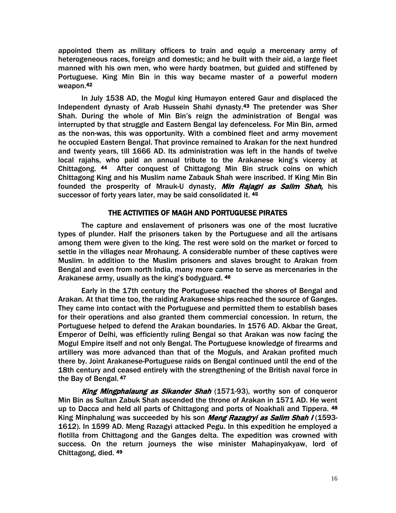appointed them as military officers to train and equip a mercenary army of heterogeneous races, foreign and domestic; and he built with their aid, a large fleet manned with his own men, who were hardy boatmen, but guided and stiffened by Portuguese. King Min Bin in this way became master of a powerful modern weapon.42

In July 1538 AD, the Mogul king Humayon entered Gaur and displaced the Independent dynasty of Arab Hussein Shahi dynasty.43 The pretender was Sher Shah. During the whole of Min Bin's reign the administration of Bengal was interrupted by that struggle and Eastern Bengal lay defenceless. For Min Bin, armed as the non-was, this was opportunity. With a combined fleet and army movement he occupied Eastern Bengal. That province remained to Arakan for the next hundred and twenty years, till 1666 AD. Its administration was left in the hands of twelve local rajahs, who paid an annual tribute to the Arakanese king's viceroy at Chittagong. 44 After conquest of Chittagong Min Bin struck coins on which Chittagong King and his Muslim name Zabauk Shah were inscribed. If King Min Bin founded the prosperity of Mrauk-U dynasty, *Min Rajagri as Salim Shah*, his successor of forty years later, may be said consolidated it. 45

#### THE ACTIVITIES OF MAGH AND PORTUGUESE PIRATES

The capture and enslavement of prisoners was one of the most lucrative types of plunder. Half the prisoners taken by the Portuguese and all the artisans among them were given to the king. The rest were sold on the market or forced to settle in the villages near Mrohaung. A considerable number of these captives were Muslim. In addition to the Muslim prisoners and slaves brought to Arakan from Bengal and even from north India, many more came to serve as mercenaries in the Arakanese army, usually as the king's bodyguard. 46

Early in the 17th century the Portuguese reached the shores of Bengal and Arakan. At that time too, the raiding Arakanese ships reached the source of Ganges. They came into contact with the Portuguese and permitted them to establish bases for their operations and also granted them commercial concession. In return, the Portuguese helped to defend the Arakan boundaries. In 1576 AD. Akbar the Great, Emperor of Delhi, was efficiently ruling Bengal so that Arakan was now facing the Mogul Empire itself and not only Bengal. The Portuguese knowledge of firearms and artillery was more advanced than that of the Moguls, and Arakan profited much there by. Joint Arakanese-Portuguese raids on Bengal continued until the end of the 18th century and ceased entirely with the strengthening of the British naval force in the Bay of Bengal. 47

King Mingphalaung as Sikander Shah (1571-93), worthy son of conqueror Min Bin as Sultan Zabuk Shah ascended the throne of Arakan in 1571 AD. He went up to Dacca and held all parts of Chittagong and ports of Noakhali and Tippera. 48 King Minphalung was succeeded by his son *Meng Razagryi as Salim Shah I* (1593-1612). In 1599 AD. Meng Razagyi attacked Pegu. In this expedition he employed a flotilla from Chittagong and the Ganges delta. The expedition was crowned with success. On the return journeys the wise minister Mahapinyakyaw, lord of Chittagong, died. 49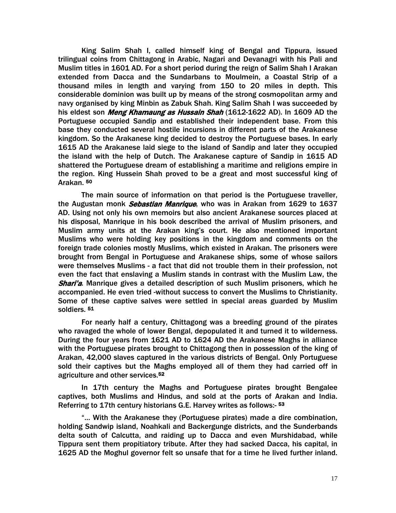King Salim Shah I, called himself king of Bengal and Tippura, issued trilingual coins from Chittagong in Arabic, Nagari and Devanagri with his Pali and Muslim titles in 1601 AD. For a short period during the reign of Salim Shah I Arakan extended from Dacca and the Sundarbans to Moulmein, a Coastal Strip of a thousand miles in length and varying from 150 to 20 miles in depth. This considerable dominion was built up by means of the strong cosmopolitan army and navy organised by king Minbin as Zabuk Shah. King Salim Shah I was succeeded by his eldest son *Meng Khamaung as Hussain Shah* (1612-1622 AD). In 1609 AD the Portuguese occupied Sandip and established their independent base. From this base they conducted several hostile incursions in different parts of the Arakanese kingdom. So the Arakanese king decided to destroy the Portuguese bases. In early 1615 AD the Arakanese laid siege to the island of Sandip and later they occupied the island with the help of Dutch. The Arakanese capture of Sandip in 1615 AD shattered the Portuguese dream of establishing a maritime and religions empire in the region. King Hussein Shah proved to be a great and most successful king of Arakan. 50

The main source of information on that period is the Portuguese traveller, the Augustan monk Sebastian Manrique, who was in Arakan from 1629 to 1637 AD. Using not only his own memoirs but also ancient Arakanese sources placed at his disposal, Manrique in his book described the arrival of Muslim prisoners, and Muslim army units at the Arakan king's court. He also mentioned important Muslims who were holding key positions in the kingdom and comments on the foreign trade colonies mostly Muslims, which existed in Arakan. The prisoners were brought from Bengal in Portuguese and Arakanese ships, some of whose sailors were themselves Muslims - a fact that did not trouble them in their profession, not even the fact that enslaving a Muslim stands in contrast with the Muslim Law, the **Shari'a.** Manrique gives a detailed description of such Muslim prisoners, which he accompanied. He even tried -without success to convert the Muslims to Christianity. Some of these captive salves were settled in special areas guarded by Muslim soldiers. 51

For nearly half a century, Chittagong was a breeding ground of the pirates who ravaged the whole of lower Bengal, depopulated it and turned it to wilderness. During the four years from 1621 AD to 1624 AD the Arakanese Maghs in alliance with the Portuguese pirates brought to Chittagong then in possession of the king of Arakan, 42,000 slaves captured in the various districts of Bengal. Only Portuguese sold their captives but the Maghs employed all of them they had carried off in agriculture and other services.52

In 17th century the Maghs and Portuguese pirates brought Bengalee captives, both Muslims and Hindus, and sold at the ports of Arakan and India. Referring to 17th century historians G.E. Harvey writes as follows:- <sup>53</sup>

"… With the Arakanese they (Portuguese pirates) made a dire combination, holding Sandwip island, Noahkali and Backergunge districts, and the Sunderbands delta south of Calcutta, and raiding up to Dacca and even Murshidabad, while Tippura sent them propitiatory tribute. After they had sacked Dacca, his capital, in 1625 AD the Moghul governor felt so unsafe that for a time he lived further inland.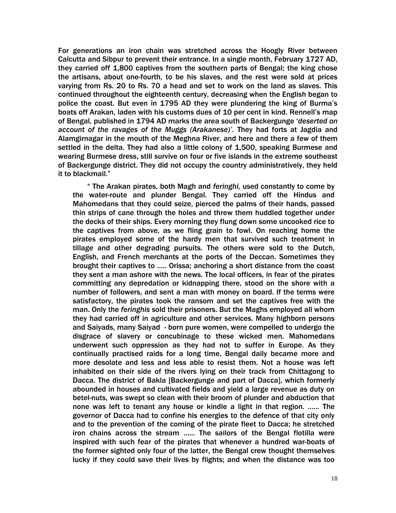For generations an iron chain was stretched across the Hoogly River between Calcutta and Sibpur to prevent their entrance. In a single month, February 1727 AD, they carried off 1,800 captives from the southern parts of Bengal; the king chose the artisans, about one-fourth, to be his slaves, and the rest were sold at prices varying from Rs. 20 to Rs. 70 a head and set to work on the land as slaves. This continued throughout the eighteenth century, decreasing when the English began to police the coast. But even in 1795 AD they were plundering the king of Burma's boats off Arakan, laden with his customs dues of 10 per cent in kind. Rennell's map of Bengal, published in 1794 AD marks the area south of Backergunge '*deserted on account of the ravages of the Muggs (Arakanese)'*. They had forts at Jagdia and Alamgirnagar in the mouth of the Meghna River, and here and there a few of them settled in the delta. They had also a little colony of 1,500, speaking Burmese and wearing Burmese dress, still survive on four or five islands in the extreme southeast of Backergunge district. They did not occupy the country administratively, they held it to blackmail."

" The Arakan pirates, both Magh and *feringhi,* used constantly to come by the water-route and plunder Bengal. They carried off the Hindus and Mahomedans that they could seize, pierced the palms of their hands, passed thin strips of cane through the holes and threw them huddled together under the decks of their ships. Every morning they flung down some uncooked rice to the captives from above, as we fling grain to fowl. On reaching home the pirates employed some of the hardy men that survived such treatment in tillage and other degrading pursuits. The others were sold to the Dutch, English, and French merchants at the ports of the Deccan. Sometimes they brought their captives to ….. Orissa; anchoring a short distance from the coast they sent a man ashore with the news. The local officers, in fear of the pirates committing any depredation or kidnapping there, stood on the shore with a number of followers, and sent a man with money on board. If the terms were satisfactory, the pirates took the ransom and set the captives free with the man. Only the *feringhis* sold their prisoners. But the Maghs employed all whom they had carried off in agriculture and other services. Many highborn persons and Saiyads, many Saiyad - born pure women, were compelled to undergo the disgrace of slavery or concubinage to these wicked men. Mahomedans underwent such oppression as they had not to suffer in Europe. As they continually practised raids for a long time, Bengal daily became more and more desolate and less and less able to resist them. Not a house was left inhabited on their side of the rivers lying on their track from Chittagong to Dacca. The district of Bakla [Backergunge and part of Dacca], which formerly abounded in houses and cultivated fields and yield a large revenue as duty on betel-nuts, was swept so clean with their broom of plunder and abduction that none was left to tenant any house or kindle a light in that region. …… The governor of Dacca had to confine his energies to the defence of that city only and to the prevention of the coming of the pirate fleet to Dacca; he stretched iron chains across the stream …… The sailors of the Bengal flotilla were inspired with such fear of the pirates that whenever a hundred war-boats of the former sighted only four of the latter, the Bengal crew thought themselves lucky if they could save their lives by flights; and when the distance was too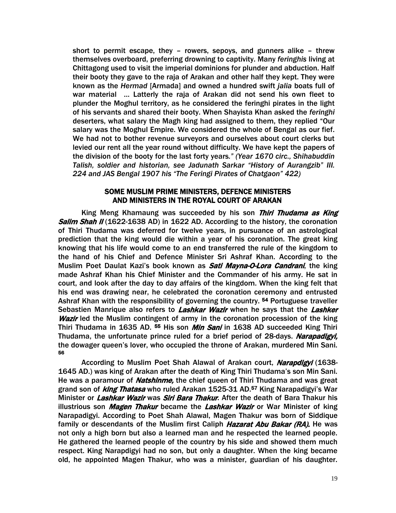short to permit escape, they – rowers, sepoys, and gunners alike – threw themselves overboard, preferring drowning to captivity. Many *feringhis* living at Chittagong used to visit the imperial dominions for plunder and abduction. Half their booty they gave to the raja of Arakan and other half they kept. They were known as the *Hermad* [Armada] and owned a hundred swift *jalia* boats full of war material … Latterly the raja of Arakan did not send his own fleet to plunder the Moghul territory, as he considered the feringhi pirates in the light of his servants and shared their booty. When Shayista Khan asked the *feringhi* deserters, what salary the Magh king had assigned to them, they replied "Our salary was the Moghul Empire. We considered the whole of Bengal as our fief. We had not to bother revenue surveyors and ourselves about court clerks but levied our rent all the year round without difficulty. We have kept the papers of the division of the booty for the last forty years*." (Year 1670 circ., Shihabuddin Talish, soldier and historian, see Jadunath Sarkar "History of Aurangzib" III. 224 and JAS Bengal 1907 his "The Feringi Pirates of Chatgaon" 422)* 

#### SOME MUSLIM PRIME MINISTERS, DEFENCE MINISTERS AND MINISTERS IN THE ROYAL COURT OF ARAKAN

King Meng Khamaung was succeeded by his son Thiri Thudama as King **Salim Shah II** (1622-1638 AD) in 1622 AD. According to the history, the coronation of Thiri Thudama was deferred for twelve years, in pursuance of an astrological prediction that the king would die within a year of his coronation. The great king knowing that his life would come to an end transferred the rule of the kingdom to the hand of his Chief and Defence Minister Sri Ashraf Khan. According to the Muslim Poet Daulat Kazi's book known as **Sati Mayna-O-Lora Candrani**, the king made Ashraf Khan his Chief Minister and the Commander of his army. He sat in court, and look after the day to day affairs of the kingdom. When the king felt that his end was drawing near, he celebrated the coronation ceremony and entrusted Ashraf Khan with the responsibility of governing the country. <sup>54</sup> Portuguese traveller Sebastien Manrique also refers to Lashkar Wazir when he says that the Lashker **Wazir** led the Muslim contingent of army in the coronation procession of the king Thiri Thudama in 1635 AD. 55 His son *Min Sani* in 1638 AD succeeded King Thiri Thudama, the unfortunate prince ruled for a brief period of 28-days. Narapadigyi, the dowager queen's lover, who occupied the throne of Arakan, murdered Min Sani. 56

According to Muslim Poet Shah Alawal of Arakan court, Narapdigyi (1638-1645 AD.) was king of Arakan after the death of King Thiri Thudama's son Min Sani. He was a paramour of *Natshinme*, the chief queen of Thiri Thudama and was great grand son of *king Thatasa* who ruled Arakan 1525-31 AD.<sup>57</sup> King Narapadigyi's War Minister or Lashkar Wazir was Siri Bara Thakur. After the death of Bara Thakur his illustrious son *Magen Thakur* became the *Lashkar Wazir* or War Minister of king Narapadigyi. According to Poet Shah Alawal, Magen Thakur was born of Siddique family or descendants of the Muslim first Caliph Hazarat Abu Bakar (RA). He was not only a high born but also a learned man and he respected the learned people. He gathered the learned people of the country by his side and showed them much respect. King Narapdigyi had no son, but only a daughter. When the king became old, he appointed Magen Thakur, who was a minister, guardian of his daughter.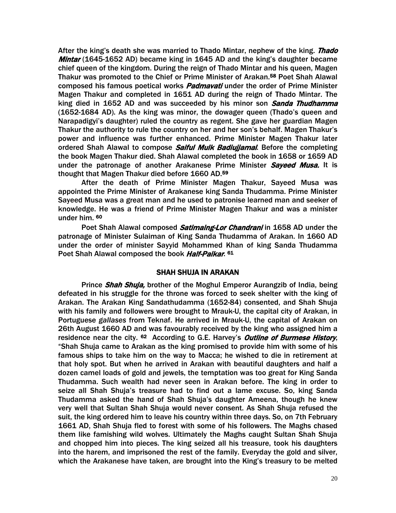After the king's death she was married to Thado Mintar, nephew of the king. Thado Mintar (1645-1652 AD) became king in 1645 AD and the king's daughter became chief queen of the kingdom. During the reign of Thado Mintar and his queen, Magen Thakur was promoted to the Chief or Prime Minister of Arakan.<sup>58</sup> Poet Shah Alawal composed his famous poetical works *Padmavati* under the order of Prime Minister Magen Thakur and completed in 1651 AD during the reign of Thado Mintar. The king died in 1652 AD and was succeeded by his minor son Sanda Thudhamma (1652-1684 AD). As the king was minor, the dowager queen (Thado's queen and Narapadigyi's daughter) ruled the country as regent. She gave her guardian Magen Thakur the authority to rule the country on her and her son's behalf. Magen Thakur's power and influence was further enhanced. Prime Minister Magen Thakur later ordered Shah Alawal to compose Saiful Mulk Badiujjamal. Before the completing the book Magen Thakur died. Shah Alawal completed the book in 1658 or 1659 AD under the patronage of another Arakanese Prime Minister Sayeed Musa. It is thought that Magen Thakur died before 1660 AD.59

After the death of Prime Minister Magen Thakur, Sayeed Musa was appointed the Prime Minister of Arakanese king Sanda Thudamma. Prime Minister Sayeed Musa was a great man and he used to patronise learned man and seeker of knowledge. He was a friend of Prime Minister Magen Thakur and was a minister under him. 60

Poet Shah Alawal composed Satimaing-Lor Chandrani in 1658 AD under the patronage of Minister Sulaiman of King Sanda Thudamma of Arakan. In 1660 AD under the order of minister Sayyid Mohammed Khan of king Sanda Thudamma Poet Shah Alawal composed the book Half-Paikar. 61

#### SHAH SHUJA IN ARAKAN

Prince Shah Shuja, brother of the Moghul Emperor Aurangzib of India, being defeated in his struggle for the throne was forced to seek shelter with the king of Arakan. The Arakan King Sandathudamma (1652-84) consented, and Shah Shuja with his family and followers were brought to Mrauk-U, the capital city of Arakan, in Portuguese *gallases* from Teknaf. He arrived in Mrauk-U, the capital of Arakan on 26th August 1660 AD and was favourably received by the king who assigned him a residence near the city. <sup>62</sup> According to G.E. Harvey's *Outline of Burmese History*, "Shah Shuja came to Arakan as the king promised to provide him with some of his famous ships to take him on the way to Macca; he wished to die in retirement at that holy spot. But when he arrived in Arakan with beautiful daughters and half a dozen camel loads of gold and jewels, the temptation was too great for King Sanda Thudamma. Such wealth had never seen in Arakan before. The king in order to seize all Shah Shuja's treasure had to find out a lame excuse. So, king Sanda Thudamma asked the hand of Shah Shuja's daughter Ameena, though he knew very well that Sultan Shah Shuja would never consent. As Shah Shuja refused the suit, the king ordered him to leave his country within three days. So, on 7th February 1661 AD, Shah Shuja fled to forest with some of his followers. The Maghs chased them like famishing wild wolves. Ultimately the Maghs caught Sultan Shah Shuja and chopped him into pieces. The king seized all his treasure, took his daughters into the harem, and imprisoned the rest of the family. Everyday the gold and silver, which the Arakanese have taken, are brought into the King's treasury to be melted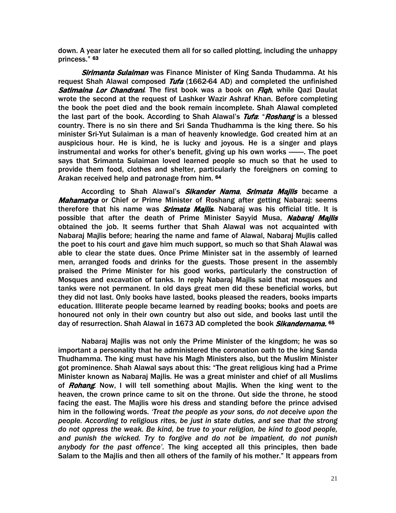down. A year later he executed them all for so called plotting, including the unhappy princess." 63

Sirimanta Sulaiman was Finance Minister of King Sanda Thudamma. At his request Shah Alawal composed *Tufa* (1662-64 AD) and completed the unfinished Satimaina Lor Chandrani. The first book was a book on Figh, while Qazi Daulat wrote the second at the request of Lashker Wazir Ashraf Khan. Before completing the book the poet died and the book remain incomplete. Shah Alawal completed the last part of the book. According to Shah Alawal's Tufa: "Roshang is a blessed country. There is no sin there and Sri Sanda Thudhamma is the king there. So his minister Sri-Yut Sulaiman is a man of heavenly knowledge. God created him at an auspicious hour. He is kind, he is lucky and joyous. He is a singer and plays instrumental and works for other's benefit, giving up his own works -----. The poet says that Srimanta Sulaiman loved learned people so much so that he used to provide them food, clothes and shelter, particularly the foreigners on coming to Arakan received help and patronage from him. 64

According to Shah Alawal's Sikander Nama, Srimata Majlis became a Mahamatya or Chief or Prime Minister of Roshang after getting Nabarai: seems therefore that his name was *Srimata Majlis*. Nabaraj was his official title. It is possible that after the death of Prime Minister Sayyid Musa, Nabaraj Majlis obtained the job. It seems further that Shah Alawal was not acquainted with Nabaraj Majlis before; hearing the name and fame of Alawal, Nabaraj Mujlis called the poet to his court and gave him much support, so much so that Shah Alawal was able to clear the state dues. Once Prime Minister sat in the assembly of learned men, arranged foods and drinks for the guests. Those present in the assembly praised the Prime Minister for his good works, particularly the construction of Mosques and excavation of tanks. In reply Nabaraj Majlis said that mosques and tanks were not permanent. In old days great men did these beneficial works, but they did not last. Only books have lasted, books pleased the readers, books imparts education. Illiterate people became learned by reading books; books and poets are honoured not only in their own country but also out side, and books last until the day of resurrection. Shah Alawal in 1673 AD completed the book Sikandernama. 65

Nabaraj Majlis was not only the Prime Minister of the kingdom; he was so important a personality that he administered the coronation oath to the king Sanda Thudhamma. The king must have his Magh Ministers also, but the Muslim Minister got prominence. Shah Alawal says about this: "The great religious king had a Prime Minister known as Nabaraj Majlis. He was a great minister and chief of all Muslims of *Rohang*. Now, I will tell something about Majlis. When the king went to the heaven, the crown prince came to sit on the throne. Out side the throne, he stood facing the east. The Majlis wore his dress and standing before the prince advised him in the following words. *'Treat the people as your sons, do not deceive upon the people. According to religious rites, be just in state duties, and see that the strong do not oppress the weak. Be kind, be true to your religion, be kind to good people, and punish the wicked. Try to forgive and do not be impatient, do not punish anybody for the past offence'.* The king accepted all this principles, then bade Salam to the Majlis and then all others of the family of his mother." It appears from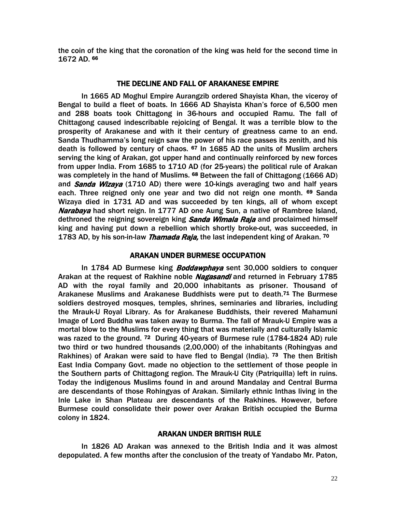the coin of the king that the coronation of the king was held for the second time in 1672 AD. 66

#### THE DECLINE AND FALL OF ARAKANESE EMPIRE

In 1665 AD Moghul Empire Aurangzib ordered Shayista Khan, the viceroy of Bengal to build a fleet of boats. In 1666 AD Shayista Khan's force of 6,500 men and 288 boats took Chittagong in 36-hours and occupied Ramu. The fall of Chittagong caused indescribable rejoicing of Bengal. It was a terrible blow to the prosperity of Arakanese and with it their century of greatness came to an end. Sanda Thudhamma's long reign saw the power of his race passes its zenith, and his death is followed by century of chaos. 67 In 1685 AD the units of Muslim archers serving the king of Arakan, got upper hand and continually reinforced by new forces from upper India. From 1685 to 1710 AD (for 25-years) the political rule of Arakan was completely in the hand of Muslims. <sup>68</sup> Between the fall of Chittagong (1666 AD) and Sanda Wizaya (1710 AD) there were 10-kings averaging two and half years each. Three reigned only one year and two did not reign one month. <sup>69</sup> Sanda Wizaya died in 1731 AD and was succeeded by ten kings, all of whom except Narabaya had short reign. In 1777 AD one Aung Sun, a native of Rambree Island, dethroned the reigning sovereign king **Sanda Wimala Raja** and proclaimed himself king and having put down a rebellion which shortly broke-out, was succeeded, in 1783 AD, by his son-in-law *Thamada Raja*, the last independent king of Arakan. <sup>70</sup>

#### ARAKAN UNDER BURMESE OCCUPATION

In 1784 AD Burmese king **Boddawphaya** sent 30,000 soldiers to conquer Arakan at the request of Rakhine noble Nagasandi and returned in February 1785 AD with the royal family and 20,000 inhabitants as prisoner. Thousand of Arakanese Muslims and Arakanese Buddhists were put to death.71 The Burmese soldiers destroyed mosques, temples, shrines, seminaries and libraries, including the Mrauk-U Royal Library. As for Arakanese Buddhists, their revered Mahamuni Image of Lord Buddha was taken away to Burma. The fall of Mrauk-U Empire was a mortal blow to the Muslims for every thing that was materially and culturally Islamic was razed to the ground. <sup>72</sup> During 40-years of Burmese rule (1784-1824 AD) rule two third or two hundred thousands (2,00,000) of the inhabitants (Rohingyas and Rakhines) of Arakan were said to have fled to Bengal (India). <sup>73</sup> The then British East India Company Govt. made no objection to the settlement of those people in the Southern parts of Chittagong region. The Mrauk-U City (Patriquilla) left in ruins. Today the indigenous Muslims found in and around Mandalay and Central Burma are descendants of those Rohingyas of Arakan. Similarly ethnic Inthas living in the Inle Lake in Shan Plateau are descendants of the Rakhines. However, before Burmese could consolidate their power over Arakan British occupied the Burma colony in 1824.

#### ARAKAN UNDER BRITISH RULE

In 1826 AD Arakan was annexed to the British India and it was almost depopulated. A few months after the conclusion of the treaty of Yandabo Mr. Paton,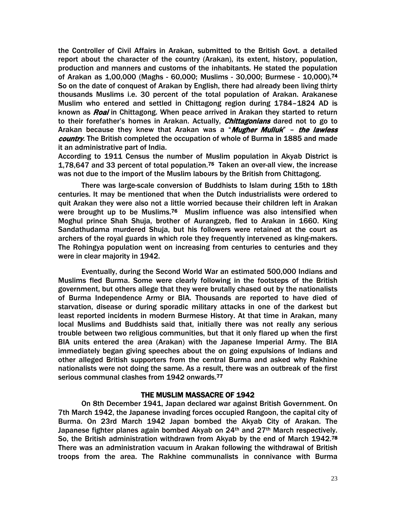the Controller of Civil Affairs in Arakan, submitted to the British Govt. a detailed report about the character of the country (Arakan), its extent, history, population, production and manners and customs of the inhabitants. He stated the population of Arakan as 1,00,000 (Maghs - 60,000; Muslims - 30,000; Burmese - 10,000).74 So on the date of conquest of Arakan by English, there had already been living thirty thousands Muslims i.e. 30 percent of the total population of Arakan. Arakanese Muslim who entered and settled in Chittagong region during 1784–1824 AD is known as *Roai* in Chittagong. When peace arrived in Arakan they started to return to their forefather's homes in Arakan. Actually, *Chittagonians* dared not to go to Arakan because they knew that Arakan was a "Mugher Mulluk" - the lawless country. The British completed the occupation of whole of Burma in 1885 and made it an administrative part of India.

According to 1911 Census the number of Muslim population in Akyab District is 1,78,647 and 33 percent of total population.75 Taken an over-all view, the increase was not due to the import of the Muslim labours by the British from Chittagong.

There was large-scale conversion of Buddhists to Islam during 15th to 18th centuries. It may be mentioned that when the Dutch industrialists were ordered to quit Arakan they were also not a little worried because their children left in Arakan were brought up to be Muslims.<sup>76</sup> Muslim influence was also intensified when Moghul prince Shah Shuja, brother of Aurangzeb, fled to Arakan in 1660. King Sandathudama murdered Shuja, but his followers were retained at the court as archers of the royal guards in which role they frequently intervened as king-makers. The Rohingya population went on increasing from centuries to centuries and they were in clear majority in 1942.

Eventually, during the Second World War an estimated 500,000 Indians and Muslims fled Burma. Some were clearly following in the footsteps of the British government, but others allege that they were brutally chased out by the nationalists of Burma Independence Army or BIA. Thousands are reported to have died of starvation, disease or during sporadic military attacks in one of the darkest but least reported incidents in modern Burmese History. At that time in Arakan, many local Muslims and Buddhists said that, initially there was not really any serious trouble between two religious communities, but that it only flared up when the first BIA units entered the area (Arakan) with the Japanese Imperial Army. The BIA immediately began giving speeches about the on going expulsions of Indians and other alleged British supporters from the central Burma and asked why Rakhine nationalists were not doing the same. As a result, there was an outbreak of the first serious communal clashes from 1942 onwards.<sup>77</sup>

#### THE MUSLIM MASSACRE OF 1942

On 8th December 1941, Japan declared war against British Government. On 7th March 1942, the Japanese invading forces occupied Rangoon, the capital city of Burma. On 23rd March 1942 Japan bombed the Akyab City of Arakan. The Japanese fighter planes again bombed Akyab on 24<sup>th</sup> and 27<sup>th</sup> March respectively. So, the British administration withdrawn from Akyab by the end of March 1942.<sup>78</sup> There was an administration vacuum in Arakan following the withdrawal of British troops from the area. The Rakhine communalists in connivance with Burma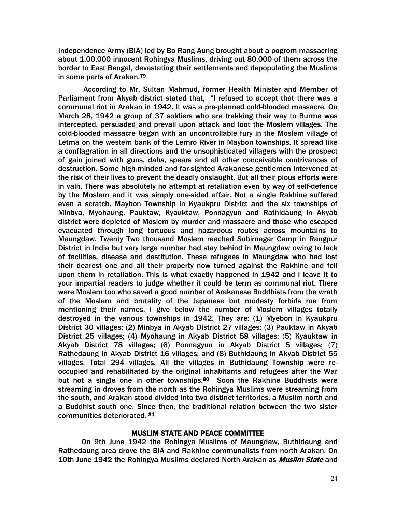Independence Army (BIA) led by Bo Rang Aung brought about a pogrom massacring about 1,00,000 innocent Rohingya Muslims, driving out 80,000 of them across the border to East Bengal, devastating their settlements and depopulating the Muslims in some parts of Arakan.79

 According to Mr. Sultan Mahmud, former Health Minister and Member of Parliament from Akyab district stated that, "I refused to accept that there was a communal riot in Arakan in 1942. It was a pre-planned cold-blooded massacre. On March 28, 1942 a group of 37 soldiers who are trekking their way to Burma was intercepted, persuaded and prevail upon attack and loot the Moslem villages. The cold-blooded massacre began with an uncontrollable fury in the Moslem village of Letma on the western bank of the Lemro River in Maybon townships. It spread like a conflagration in all directions and the unsophisticated villagers with the prospect of gain joined with guns, *dahs*, spears and all other conceivable contrivances of destruction. Some high-minded and far-sighted Arakanese gentlemen intervened at the risk of their lives to prevent the deadly onslaught. But all their pious efforts were in vain. There was absolutely no attempt at retaliation even by way of self-defence by the Moslem and it was simply one-sided affair. Not a single Rakhine suffered even a scratch. Maybon Township in Kyaukpru District and the six townships of Minbya, Myohaung, Pauktaw, Kyauktaw, Ponnagyun and Rathidaung in Akyab district were depleted of Moslem by murder and massacre and those who escaped evacuated through long tortuous and hazardous routes across mountains to Maungdaw. Twenty Two thousand Moslem reached Subirnagar Camp in Rangpur District in India but very large number had stay behind in Maungdaw owing to lack of facilities, disease and destitution. These refugees in Maungdaw who had lost their dearest one and all their property now turned against the Rakhine and fell upon them in retaliation. This is what exactly happened in 1942 and I leave it to your impartial readers to judge whether it could be term as communal riot. There were Moslem too who saved a good number of Arakanese Buddhists from the wrath of the Moslem and brutality of the Japanese but modesty forbids me from mentioning their names. I give below the number of Moslem villages totally destroyed in the various townships in 1942. They are: (1) Myebon in Kyaukpru District 30 villages; (2) Minbya in Akyab District 27 villages; (3) Pauktaw in Akyab District 25 villages; (4) Myohaung in Akyab District 58 villages; (5) Kyauktaw in Akyab District 78 villages; (6) Ponnagyun in Akyab District 5 villages; (7) Rathedaung in Akyab District 16 villages; and (8) Buthidaung in Akyab District 55 villages. Total 294 villages. All the villages in Buthidaung Township were reoccupied and rehabilitated by the original inhabitants and refugees after the War but not a single one in other townships.<sup>80</sup> Soon the Rakhine Buddhists were streaming in droves from the north as the Rohingya Muslims were streaming from the south, and Arakan stood divided into two distinct territories, a Muslim north and a Buddhist south one. Since then, the traditional relation between the two sister communities deteriorated. 81

#### MUSLIM STATE AND PEACE COMMITTEE

On 9th June 1942 the Rohingya Muslims of Maungdaw, Buthidaung and Rathedaung area drove the BIA and Rakhine communalists from north Arakan. On 10th June 1942 the Rohingya Muslims declared North Arakan as *Muslim State* and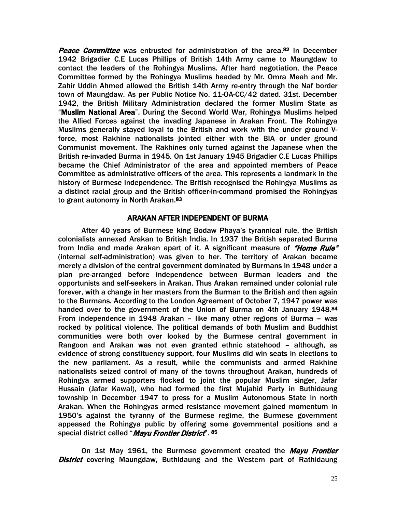Peace Committee was entrusted for administration of the area.<sup>82</sup> In December 1942 Brigadier C.E Lucas Phillips of British 14th Army came to Maungdaw to contact the leaders of the Rohingya Muslims. After hard negotiation, the Peace Committee formed by the Rohingya Muslims headed by Mr. Omra Meah and Mr. Zahir Uddin Ahmed allowed the British 14th Army re-entry through the Naf border town of Maungdaw. As per Public Notice No. 11-OA-CC/42 dated. 31st. December 1942, the British Military Administration declared the former Muslim State as "Muslim National Area". During the Second World War, Rohingya Muslims helped the Allied Forces against the invading Japanese in Arakan Front. The Rohingya Muslims generally stayed loyal to the British and work with the under ground Vforce, most Rakhine nationalists jointed either with the BIA or under ground Communist movement. The Rakhines only turned against the Japanese when the British re-invaded Burma in 1945. On 1st January 1945 Brigadier C.E Lucas Phillips became the Chief Administrator of the area and appointed members of Peace Committee as administrative officers of the area. This represents a landmark in the history of Burmese independence. The British recognised the Rohingya Muslims as a distinct racial group and the British officer-in-command promised the Rohingyas to grant autonomy in North Arakan.<sup>83</sup>

#### ARAKAN AFTER INDEPENDENT OF BURMA

After 40 years of Burmese king Bodaw Phaya's tyrannical rule, the British colonialists annexed Arakan to British India. In 1937 the British separated Burma from India and made Arakan apart of it. A significant measure of *"Home Rule"* (internal self-administration) was given to her. The territory of Arakan became merely a division of the central government dominated by Burmans in 1948 under a plan pre-arranged before independence between Burman leaders and the opportunists and self-seekers in Arakan. Thus Arakan remained under colonial rule forever, with a change in her masters from the Burman to the British and then again to the Burmans. According to the London Agreement of October 7, 1947 power was handed over to the government of the Union of Burma on 4th January 1948.84 From independence in 1948 Arakan – like many other regions of Burma – was rocked by political violence. The political demands of both Muslim and Buddhist communities were both over looked by the Burmese central government in Rangoon and Arakan was not even granted ethnic statehood – although, as evidence of strong constituency support, four Muslims did win seats in elections to the new parliament. As a result, while the communists and armed Rakhine nationalists seized control of many of the towns throughout Arakan, hundreds of Rohingya armed supporters flocked to joint the popular Muslim singer, Jafar Hussain (Jafar Kawal), who had formed the first Mujahid Party in Buthidaung township in December 1947 to press for a Muslim Autonomous State in north Arakan. When the Rohingyas armed resistance movement gained momentum in 1950's against the tyranny of the Burmese regime, the Burmese government appeased the Rohingya public by offering some governmental positions and a special district called "Mayu Frontier District". 85

On 1st May 1961, the Burmese government created the *Mayu Frontier* **District** covering Maungdaw, Buthidaung and the Western part of Rathidaung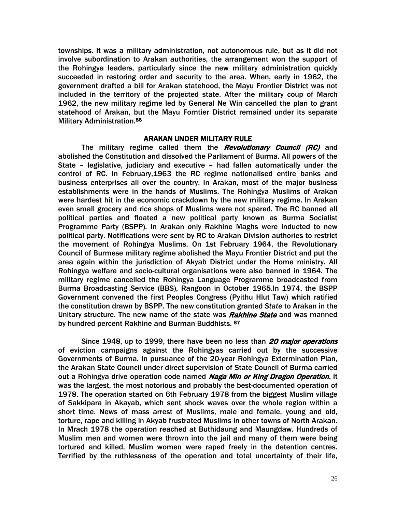townships. It was a military administration, not autonomous rule, but as it did not involve subordination to Arakan authorities, the arrangement won the support of the Rohingya leaders, particularly since the new military administration quickly succeeded in restoring order and security to the area. When, early in 1962, the government drafted a bill for Arakan statehood, the Mayu Frontier District was not included in the territory of the projected state. After the military coup of March 1962, the new military regime led by General Ne Win cancelled the plan to grant statehood of Arakan, but the Mayu Forntier District remained under its separate Military Administration.86

#### ARAKAN UNDER MILITARY RULE

The military regime called them the *Revolutionary Council (RC)* and abolished the Constitution and dissolved the Parliament of Burma. All powers of the State – legislative, judiciary and executive – had fallen automatically under the control of RC. In February,1963 the RC regime nationalised entire banks and business enterprises all over the country. In Arakan, most of the major business establishments were in the hands of Muslims. The Rohingya Muslims of Arakan were hardest hit in the economic crackdown by the new military regime. In Arakan even small grocery and rice shops of Muslims were not spared. The RC banned all political parties and floated a new political party known as Burma Socialist Programme Party (BSPP). In Arakan only Rakhine Maghs were inducted to new political party. Notifications were sent by RC to Arakan Division authories to restrict the movement of Rohingya Muslims. On 1st February 1964, the Revolutionary Council of Burmese military regime abolished the Mayu Frontier District and put the area again within the jurisdiction of Akyab District under the Home ministry. All Rohingya welfare and socio-cultural organisations were also banned in 1964. The military regime cancelled the Rohingya Language Programme broadcasted from Burma Broadcasting Service (BBS), Rangoon in October 1965.In 1974, the BSPP Government convened the first Peoples Congress (Pyithu Hlut Taw) which ratified the constitution drawn by BSPP. The new constitution granted *State* to Arakan in the Unitary structure. The new name of the state was **Rakhine State** and was manned by hundred percent Rakhine and Burman Buddhists. 87

Since 1948, up to 1999, there have been no less than 20 major operations of eviction campaigns against the Rohingyas carried out by the successive Governments of Burma. In pursuance of the 20-year Rohingya Extermination Plan, the Arakan State Council under direct supervision of State Council of Burma carried out a Rohingya drive operation code named Naga Min or King Dragon Operation. It was the largest, the most notorious and probably the best-documented operation of 1978. The operation started on 6th February 1978 from the biggest Muslim village of Sakkipara in Akayab, which sent shock waves over the whole region within a short time. News of mass arrest of Muslims, male and female, young and old, torture, rape and killing in Akyab frustrated Muslims in other towns of North Arakan. In Mrach 1978 the operation reached at Buthidaung and Maungdaw. Hundreds of Muslim men and women were thrown into the jail and many of them were being tortured and killed. Muslim women were raped freely in the detention centres. Terrified by the ruthlessness of the operation and total uncertainty of their life,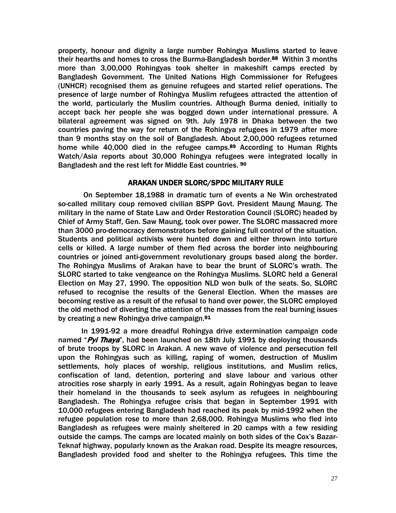property, honour and dignity a large number Rohingya Muslims started to leave their hearths and homes to cross the Burma-Bangladesh border.<sup>88</sup> Within 3 months more than 3,00,000 Rohingyas took shelter in makeshift camps erected by Bangladesh Government. The United Nations High Commissioner for Refugees (UNHCR) recognised them as genuine refugees and started relief operations. The presence of large number of Rohingya Muslim refugees attracted the attention of the world, particularly the Muslim countries. Although Burma denied, initially to accept back her people she was bogged down under international pressure. A bilateral agreement was signed on 9th. July 1978 in Dhaka between the two countries paving the way for return of the Rohingya refugees in 1979 after more than 9 months stay on the soil of Bangladesh. About 2,00,000 refugees returned home while 40,000 died in the refugee camps.<sup>89</sup> According to Human Rights Watch/Asia reports about 30,000 Rohingya refugees were integrated locally in Bangladesh and the rest left for Middle East countries. 90

#### ARAKAN UNDER SLORC/SPDC MILITARY RULE

On September 18,1988 in dramatic turn of events a Ne Win orchestrated so-called military coup removed civilian BSPP Govt. President Maung Maung. The military in the name of State Law and Order Restoration Council (SLORC) headed by Chief of Army Staff, Gen. Saw Maung, took over power. The SLORC massacred more than 3000 pro-democracy demonstrators before gaining full control of the situation. Students and political activists were hunted down and either thrown into torture cells or killed. A large number of them fled across the border into neighbouring countries or joined anti-government revolutionary groups based along the border. The Rohingya Muslims of Arakan have to bear the brunt of SLORC's wrath. The SLORC started to take vengeance on the Rohingya Muslims. SLORC held a General Election on May 27, 1990. The opposition NLD won bulk of the seats. So, SLORC refused to recognise the results of the General Election. When the masses are becoming restive as a result of the refusal to hand over power, the SLORC employed the old method of diverting the attention of the masses from the real burning issues by creating a new Rohingya drive campaign.91

In 1991-92 a more dreadful Rohingya drive extermination campaign code named "Pyi Thaya", had been launched on 18th July 1991 by deploying thousands of brute troops by SLORC in Arakan. A new wave of violence and persecution fell upon the Rohingyas such as killing, raping of women, destruction of Muslim settlements, holy places of worship, religious institutions, and Muslim relics, confiscation of land, detention, portering and slave labour and various other atrocities rose sharply in early 1991. As a result, again Rohingyas began to leave their homeland in the thousands to seek asylum as refugees in neighbouring Bangladesh. The Rohingya refugee crisis that began in September 1991 with 10,000 refugees entering Bangladesh had reached its peak by mid-1992 when the refugee population rose to more than 2,68,000. Rohingya Muslims who fled into Bangladesh as refugees were mainly sheltered in 20 camps with a few residing outside the camps. The camps are located mainly on both sides of the Cox's Bazar-Teknaf highway, popularly known as the Arakan road. Despite its meagre resources, Bangladesh provided food and shelter to the Rohingya refugees. This time the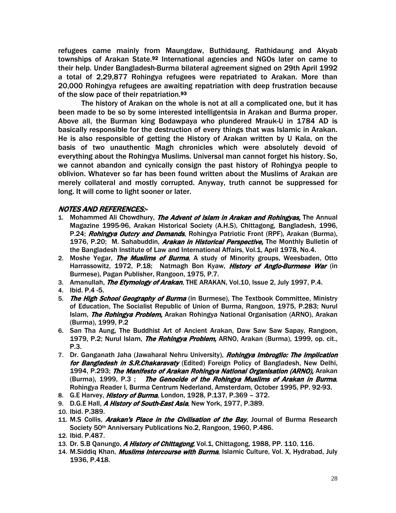refugees came mainly from Maungdaw, Buthidaung, Rathidaung and Akyab townships of Arakan State.<sup>92</sup> International agencies and NGOs later on came to their help. Under Bangladesh-Burma bilateral agreement signed on 29th April 1992 a total of 2,29,877 Rohingya refugees were repatriated to Arakan. More than 20,000 Rohingya refugees are awaiting repatriation with deep frustration because of the slow pace of their repatriation.93

The history of Arakan on the whole is not at all a complicated one, but it has been made to be so by some interested intelligentsia in Arakan and Burma proper. Above all, the Burman king Bodawpaya who plundered Mrauk-U in 1784 AD is basically responsible for the destruction of every things that was Islamic in Arakan. He is also responsible of getting the History of Arakan written by U Kala, on the basis of two unauthentic Magh chronicles which were absolutely devoid of everything about the Rohingya Muslims. Universal man cannot forget his history. So, we cannot abandon and cynically consign the past history of Rohingya people to oblivion. Whatever so far has been found written about the Muslims of Arakan are merely collateral and mostly corrupted. Anyway, truth cannot be suppressed for long. It will come to light sooner or later.

#### NOTES AND REFERENCES:-

- 1. Mohammed Ali Chowdhury, The Advent of Islam in Arakan and Rohingyas, The Annual Magazine 1995-96, Arakan Historical Society (A.H.S), Chittagong, Bangladesh, 1996, P.24; Rohingya Outcry and Demands, Rohingya Patriotic Front (RPF), Arakan (Burma), 1976, P.20; M. Sahabuddin, *Arakan in Historical Perspective*, The Monthly Bulletin of the Bangladesh Institute of Law and International Affairs, Vol.1, April 1978, No.4.
- 2. Moshe Yegar, *The Muslims of Burma*, A study of Minority groups, Weesbaden, Otto Harrassowitz, 1972, P.18; Natmagh Bon Kyaw, History of Anglo-Burmese War (in Burmese), Pagan Publisher, Rangoon, 1975, P.7.
- 3. Amanullah, *The Etymology of Arakan*, THE ARAKAN, Vol.10, Issue 2, July 1997, P.4.
- 4. Ibid. P.4 -5.
- 5. The High School Geography of Burma (in Burmese), The Textbook Committee, Ministry of Education, The Socialist Republic of Union of Burma, Rangoon, 1975, P.283; Nurul Islam, *The Rohingya Problem*, Arakan Rohingya National Organisation (ARNO), Arakan (Burma), 1999, P.2
- 6. San Tha Aung, The Buddhist Art of Ancient Arakan, Daw Saw Saw Sapay, Rangoon, 1979, P.2; Nurul Islam, *The Rohingya Problem,* ARNO, Arakan (Burma), 1999, op. cit., P.3.
- 7. Dr. Ganganath Jaha (Jawaharal Nehru University), Rohingya Imbroglio: The Implication for Bangladesh in S.R.Chakaravaty (Edited) Foreign Policy of Bangladesh, New Delhi, 1994, P.293; The Manifesto of Arakan Rohingya National Organisation (ARNO), Arakan (Burma), 1999, P.3 ; The Genocide of the Rohingya Muslims of Arakan in Burma, Rohingya Reader I, Burma Centrum Nederland, Amsterdam, October 1995, PP. 92-93.
- 8. G.E Harvey, *History of Burma*, London, 1928, P.137, P.369 372.
- 9. D.G.E Hall, A History of South-East Asia, New York, 1977, P.389.
- 10. Ibid. P.389.
- 11. M.S Collis, *Arakan's Place in the Civilisation of the Bay*, Journal of Burma Research Society 50<sup>th</sup> Anniversary Publications No.2, Rangoon, 1960, P.486.
- 12. Ibid. P.487.
- 13. Dr. S.B Qanungo, A History of Chittagong, Vol.1, Chittagong, 1988, PP. 110, 116.
- 14. M.Siddiq Khan, *Muslims Intercourse with Burma*, Islamic Culture, Vol. X, Hydrabad, July 1936, P.418.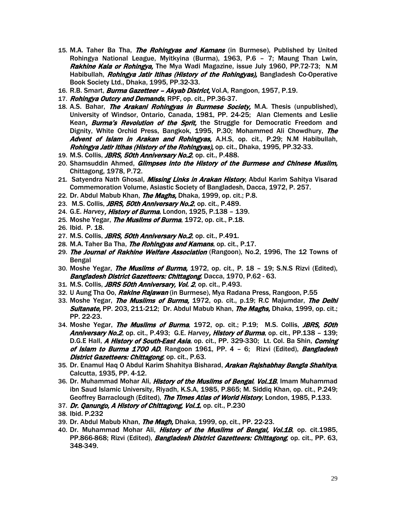- 15. M.A. Taher Ba Tha, *The Rohingyas and Kamans* (in Burmese), Published by United Rohingya National League, Myitkyina (Burma), 1963, P.6 – 7; Maung Than Lwin, Rakhine Kala or Rohingya, The Mya Wadi Magazine, issue July 1960, PP.72-73; N.M. Habibullah, *Rohingya Jatir Itihas (History of the Rohingyas)*, Bangladesh Co-Operative Book Society Ltd., Dhaka, 1995, PP.32-33.
- 16. R.B. Smart, *Burma Gazetteer Akyab District*, Vol.A, Rangoon, 1957, P.19.
- 17. Rohingya Outcry and Demands, RPF, op. cit., PP.36-37.
- 18. A.S. Bahar, *The Arakani Rohingyas in Burmese Society*, M.A. Thesis (unpublished), University of Windsor, Ontario, Canada, 1981, PP. 24-25; Alan Clements and Leslie Kean, **Burma's Revolution of the Sprit**, the Struggle for Democratic Freedom and Dignity, White Orchid Press, Bangkok, 1995, P.30; Mohammed Ali Chowdhury, The Advent of Islam in Arakan and Rohingyas, A.H.S, op. cit., P.29; N.M Habibullah, Rohingya Jatir Itihas (History of the Rohingyas), op. cit., Dhaka, 1995, PP.32-33.
- 19. M.S. Collis, **JBRS, 50th Anniversary No.2**, op. cit., P.488.
- 20. Shamsuddin Ahmed, *Glimpses into the History of the Burmese and Chinese Muslim*, Chittagong, 1978, P.72.
- 21. Satyendra Nath Ghosal, *Missing Links in Arakan History*, Abdul Karim Sahitya Visarad Commemoration Volume, Asiastic Society of Bangladesh, Dacca, 1972, P. 257.
- 22. Dr. Abdul Mabub Khan, *The Maghs*, Dhaka, 1999, op. cit.; P.8.
- 23. M.S. Collis, **JBRS, 50th Anniversary No.2**, op. cit., P.489.
- 24. G.E. *Harvey*, History of Burma, London, 1925, P.138 139.
- 25. Moshe Yegar, *The Muslims of Burma*, 1972, op. cit., P.18.
- 26. Ibid. P. 18.
- 27. M.S. Collis, *JBRS, 50th Anniversary No.2*, op. cit., P.491.
- 28. M.A. Taher Ba Tha, *The Rohingyas and Kamans*, op. cit., P.17.
- 29. The Journal of Rakhine Welfare Association (Rangoon), No.2, 1996, The 12 Towns of Bengal
- 30. Moshe Yegar, *The Muslims of Burma*, 1972, op. cit., P. 18 19; S.N.S Rizvi (Edited), Bangladesh District Gazetteers: Chittagong, Dacca, 1970, P.62 - 63.
- 31. M.S. Collis, **JBRS 50th Anniversary, Vol. 2**, op. cit., P.493.
- 32. U Aung Tha Oo, *Rakine Rajawan* (in Burmese), Mya Radana Press, Rangoon, P.55
- 33. Moshe Yegar, *The Muslims of Burma*, 1972, op. cit., p.19; R.C Majumdar, *The Delhi* Sultanate, PP. 203, 211-212; Dr. Abdul Mabub Khan, The Maghs, Dhaka, 1999, op. cit.; PP. 22-23.
- 34. Moshe Yegar, *The Muslims of Burma*, 1972, op. cit.; P.19; M.S. Collis, *JBRS, 50th* Anniversary No.2, op. cit., P.493; G.E. *Harvey*, History of Burma, op. cit., PP.138 – 139; D.G.E Hall, A History of South-East Asia, op. cit., PP. 329-330; Lt. Col. Ba Shin, Coming of Islam to Burma 1700 AD, Rangoon 1961, PP. 4 - 6; Rizvi (Edited), Bangladesh District Gazetteers: Chittagong, op. cit., P.63.
- 35. Dr. Enamul Haq O Abdul Karim Shahitya Bisharad, Arakan Rajshabhay Bangla Shahitya, Calcutta, 1935, PP. 4-12.
- 36. Dr. Muhammad Mohar Ali, *History of the Muslims of Bengal, Vol.1B*, Imam Muhammad ibn Saud Islamic University, Riyadh, K.S.A, 1985, P.865; M. Siddiq Khan, op. cit., P.249; Geoffrey Barraclough (Edited), The Times Atlas of World History, London, 1985, P.133.
- 37. Dr. Qanungo, A History of Chittagong, Vol.1, op. cit., P.230
- 38. Ibid. P.232
- 39. Dr. Abdul Mabub Khan, *The Magh*, Dhaka, 1999, op, cit., PP. 22-23.
- 40. Dr. Muhammad Mohar Ali, *History of the Muslims of Bengal, Vol.1B*, op. cit.1985, PP.866-868; Rizvi (Edited), *Bangladesh District Gazetteers: Chittagong*, op. cit., PP. 63, 348-349.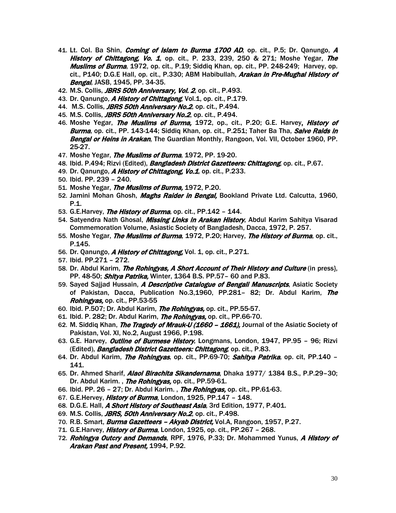- 41. Lt. Col. Ba Shin, *Coming of Islam to Burma 1700 AD*, op. cit., P.5; Dr. Qanungo, A History of Chittagong, Vo. 1, op. cit., P. 233, 239, 250 & 271; Moshe Yegar, The Muslims of Burma, 1972, op. cit., P.19; Siddiq Khan, op. cit., PP. 248-249; Harvey, op. cit., P140; D.G.E Hall, op. cit., P.330; ABM Habibullah, *Arakan in Pre-Mughal History of* Bengal, JASB, 1945, PP. 34-35.
- 42. M.S. Collis, *JBRS 50th Anniversary, Vol. 2*, op. cit., P.493.
- 43. Dr. Qanungo, A History of Chittagong, Vol.1, op. cit., P.179.
- 44. M.S. Collis, JBRS 50th Anniversary No.2, op. cit., P.494.
- 45. M.S. Collis, *JBRS 50th Anniversary No.2*, op. cit., P.494.
- 46. Moshe Yegar, The Muslims of Burma, 1972, op., cit., P.20; G.E. Harvey, History of Burma, op. cit., PP. 143-144; Siddiq Khan, op. cit., P.251; Taher Ba Tha, Salve Raids in Bengal or Heins in Arakan, The Guardian Monthly, Rangoon, Vol. VII, October 1960, PP. 25-27.
- 47. Moshe Yegar, *The Muslims of Burma*, 1972, PP. 19-20.
- 48. Ibid. P.494; Rizvi (Edited), *Bangladesh District Gazetteers: Chittagong*, op. cit., P.67.
- 49. Dr. Qanungo, A History of Chittagong, Vo.1, op. cit., P.233.
- 50. Ibid. PP. 239 240.
- 51. Moshe Yegar, The Muslims of Burma, 1972, P.20.
- 52. Jamini Mohan Ghosh, *Maghs Raider in Bengal*, Bookland Private Ltd. Calcutta, 1960, P.1.
- 53. G.E. Harvey, *The History of Burma*, op. cit., PP. 142 144.
- 54. Satyendra Nath Ghosal, *Missing Links in Arakan History*, Abdul Karim Sahitya Visarad Commemoration Volume, Asiastic Society of Bangladesh, Dacca, 1972, P. 257.
- 55. Moshe Yegar, The Muslims of Burma, 1972, P.20; Harvey, The History of Burma, op. cit., P.145.
- 56. Dr. Qanungo, A History of Chittagong, Vol. 1, op. cit., P.271.
- 57. Ibid. PP.271 272.
- 58. Dr. Abdul Karim, *The Rohingyas, A Short Account of Their History and Culture* (in press), PP. 48-50; Shitya Patrika, Winter, 1364 B.S. PP.57 - 60 and P.83.
- 59. Sayed Sajjad Hussain, *A Descriptive Catalogue of Bengali Manuscripts*, Asiatic Society of Pakistan, Dacca, Publication No.3,1960, PP.281- 82; Dr. Abdul Karim, The Rohingyas, op. cit., PP.53-55
- 60. Ibid. P.507; Dr. Abdul Karim, The Rohingyas, op. cit., PP.55-57.
- 61. Ibid. P. 282; Dr. Abdul Karim, *The Rohingyas,* op. cit., PP.66-70.
- 62. M. Siddig Khan, *The Tragedy of Mrauk-U (1660 1661)*, Journal of the Asiatic Society of Pakistan, Vol. XI, No.2, August 1966, P.198.
- 63. G.E. Harvey, *Outline of Burmese History*, Longmans, London, 1947, PP.95 96; Rizvi (Edited), Bangladesh District Gazetteers: Chittagong, op. cit., P.83.
- 64. Dr. Abdul Karim, *The Rohingyas*, op. cit., PP.69-70; *Sahitya Patrika*, op. cit, PP.140 141.
- 65. Dr. Ahmed Sharif, Alaol Birachita Sikandernama, Dhaka 1977/ 1384 B.S., P.P.29-30; Dr. Abdul Karim., The Rohingyas, op. cit., PP.59-61.
- 66. Ibid. PP. 26 27; Dr. Abdul Karim., *The Rohingyas*, op. cit., PP.61-63.
- 67. G.E.Hervey, *History of Burma*, London, 1925, PP.147 148.
- 68. D.G.E. Hall, A Short History of Southeast Asia, 3rd Edition, 1977, P.401.
- 69. M.S. Collis, **JBRS, 50th Anniversary No.2**, op. cit., P.498.
- 70. R.B. Smart, *Burma Gazetteers Akyab District*, Vol.A, Rangoon, 1957, P.27.
- 71. G.E. Harvey, *History of Burma*, London, 1925, op. cit., PP.267 268.
- 72. Rohingya Outcry and Demands, RPF, 1976, P.33; Dr. Mohammed Yunus, A History of Arakan Past and Present, 1994, P.92.